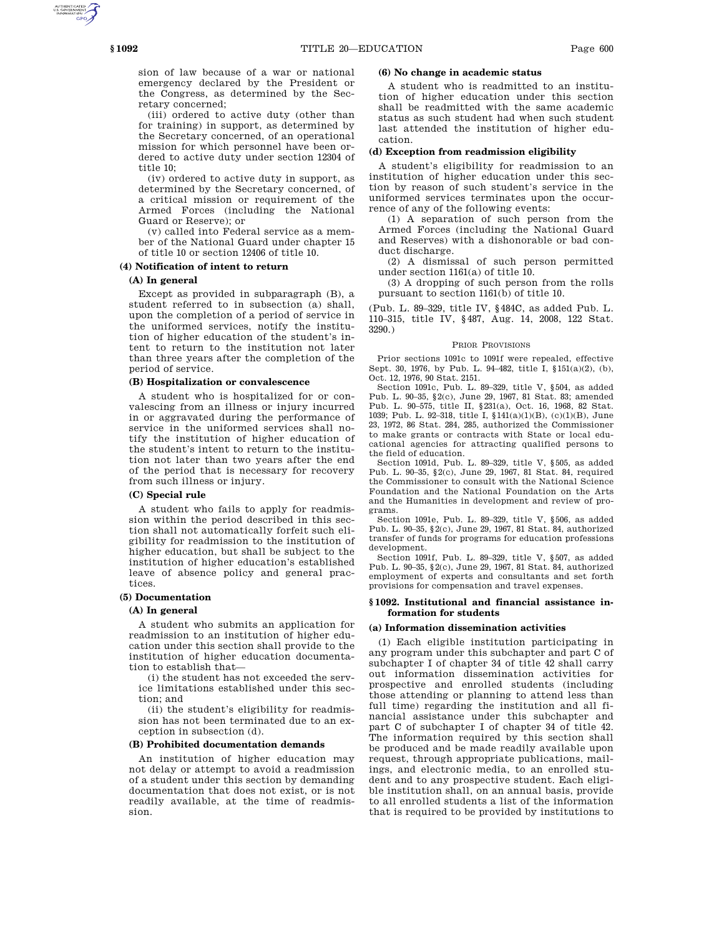sion of law because of a war or national emergency declared by the President or the Congress, as determined by the Secretary concerned;

(iii) ordered to active duty (other than for training) in support, as determined by the Secretary concerned, of an operational mission for which personnel have been ordered to active duty under section 12304 of title 10;

(iv) ordered to active duty in support, as determined by the Secretary concerned, of a critical mission or requirement of the Armed Forces (including the National Guard or Reserve); or

(v) called into Federal service as a member of the National Guard under chapter 15 of title 10 or section 12406 of title 10.

#### **(4) Notification of intent to return**

#### **(A) In general**

Except as provided in subparagraph (B), a student referred to in subsection (a) shall, upon the completion of a period of service in the uniformed services, notify the institution of higher education of the student's intent to return to the institution not later than three years after the completion of the period of service.

## **(B) Hospitalization or convalescence**

A student who is hospitalized for or convalescing from an illness or injury incurred in or aggravated during the performance of service in the uniformed services shall notify the institution of higher education of the student's intent to return to the institution not later than two years after the end of the period that is necessary for recovery from such illness or injury.

#### **(C) Special rule**

A student who fails to apply for readmission within the period described in this section shall not automatically forfeit such eligibility for readmission to the institution of higher education, but shall be subject to the institution of higher education's established leave of absence policy and general practices.

# **(5) Documentation**

#### **(A) In general**

A student who submits an application for readmission to an institution of higher education under this section shall provide to the institution of higher education documentation to establish that—

(i) the student has not exceeded the service limitations established under this section; and

(ii) the student's eligibility for readmission has not been terminated due to an exception in subsection (d).

#### **(B) Prohibited documentation demands**

An institution of higher education may not delay or attempt to avoid a readmission of a student under this section by demanding documentation that does not exist, or is not readily available, at the time of readmission.

# **(6) No change in academic status**

A student who is readmitted to an institution of higher education under this section shall be readmitted with the same academic status as such student had when such student last attended the institution of higher education.

#### **(d) Exception from readmission eligibility**

A student's eligibility for readmission to an institution of higher education under this section by reason of such student's service in the uniformed services terminates upon the occurrence of any of the following events:

(1) A separation of such person from the Armed Forces (including the National Guard and Reserves) with a dishonorable or bad conduct discharge.

(2) A dismissal of such person permitted under section 1161(a) of title 10.

(3) A dropping of such person from the rolls pursuant to section 1161(b) of title 10.

(Pub. L. 89–329, title IV, §484C, as added Pub. L. 110–315, title IV, §487, Aug. 14, 2008, 122 Stat. 3290.)

#### PRIOR PROVISIONS

Prior sections 1091c to 1091f were repealed, effective Sept. 30, 1976, by Pub. L. 94–482, title I,  $$151(a)(2)$ , (b), Oct. 12, 1976, 90 Stat. 2151.

Section 1091c, Pub. L. 89–329, title V, §504, as added Pub. L. 90–35, §2(c), June 29, 1967, 81 Stat. 83; amended Pub. L. 90–575, title II, §231(a), Oct. 16, 1968, 82 Stat. 1039; Pub. L. 92–318, title I, §141(a)(1)(B), (c)(1)(B), June 23, 1972, 86 Stat. 284, 285, authorized the Commissioner to make grants or contracts with State or local educational agencies for attracting qualified persons to the field of education.

Section 1091d, Pub. L. 89–329, title V, §505, as added Pub. L. 90–35, §2(c), June 29, 1967, 81 Stat. 84, required the Commissioner to consult with the National Science Foundation and the National Foundation on the Arts and the Humanities in development and review of programs.

Section 1091e, Pub. L. 89–329, title V, §506, as added Pub. L. 90–35, §2(c), June 29, 1967, 81 Stat. 84, authorized transfer of funds for programs for education professions development.

Section 1091f, Pub. L. 89–329, title V, §507, as added Pub. L. 90–35, §2(c), June 29, 1967, 81 Stat. 84, authorized employment of experts and consultants and set forth provisions for compensation and travel expenses.

## **§ 1092. Institutional and financial assistance information for students**

## **(a) Information dissemination activities**

(1) Each eligible institution participating in any program under this subchapter and part C of subchapter I of chapter 34 of title 42 shall carry out information dissemination activities for prospective and enrolled students (including those attending or planning to attend less than full time) regarding the institution and all financial assistance under this subchapter and part C of subchapter I of chapter 34 of title 42. The information required by this section shall be produced and be made readily available upon request, through appropriate publications, mailings, and electronic media, to an enrolled student and to any prospective student. Each eligible institution shall, on an annual basis, provide to all enrolled students a list of the information that is required to be provided by institutions to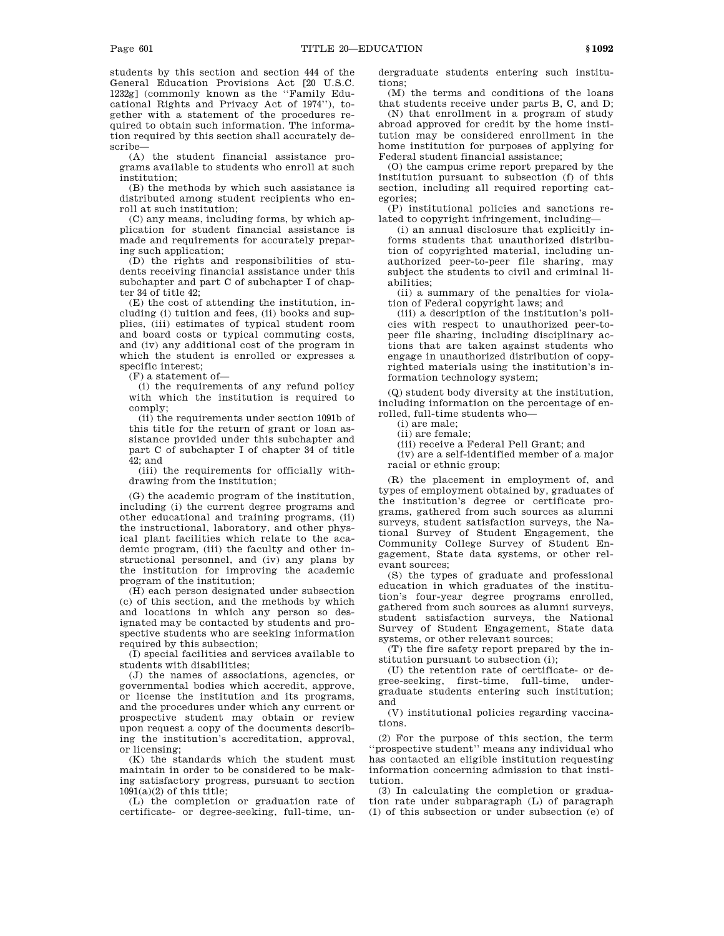students by this section and section 444 of the General Education Provisions Act [20 U.S.C. 1232g] (commonly known as the ''Family Educational Rights and Privacy Act of 1974''), together with a statement of the procedures required to obtain such information. The information required by this section shall accurately describe—

(A) the student financial assistance programs available to students who enroll at such institution;

(B) the methods by which such assistance is distributed among student recipients who enroll at such institution;

(C) any means, including forms, by which application for student financial assistance is made and requirements for accurately preparing such application;

(D) the rights and responsibilities of students receiving financial assistance under this subchapter and part C of subchapter I of chapter 34 of title 42;

(E) the cost of attending the institution, including (i) tuition and fees, (ii) books and supplies, (iii) estimates of typical student room and board costs or typical commuting costs, and (iv) any additional cost of the program in which the student is enrolled or expresses a specific interest;

(F) a statement of—

(i) the requirements of any refund policy with which the institution is required to comply;

(ii) the requirements under section 1091b of this title for the return of grant or loan assistance provided under this subchapter and part C of subchapter I of chapter 34 of title 42; and

(iii) the requirements for officially withdrawing from the institution;

(G) the academic program of the institution, including (i) the current degree programs and other educational and training programs, (ii) the instructional, laboratory, and other physical plant facilities which relate to the academic program, (iii) the faculty and other instructional personnel, and (iv) any plans by the institution for improving the academic program of the institution;

(H) each person designated under subsection (c) of this section, and the methods by which and locations in which any person so designated may be contacted by students and prospective students who are seeking information required by this subsection;

(I) special facilities and services available to students with disabilities;

(J) the names of associations, agencies, or governmental bodies which accredit, approve, or license the institution and its programs, and the procedures under which any current or prospective student may obtain or review upon request a copy of the documents describing the institution's accreditation, approval, or licensing;

(K) the standards which the student must maintain in order to be considered to be making satisfactory progress, pursuant to section  $1091(a)(2)$  of this title;

(L) the completion or graduation rate of certificate- or degree-seeking, full-time, undergraduate students entering such institutions;

(M) the terms and conditions of the loans that students receive under parts B, C, and D;

(N) that enrollment in a program of study abroad approved for credit by the home institution may be considered enrollment in the home institution for purposes of applying for Federal student financial assistance;

(O) the campus crime report prepared by the institution pursuant to subsection (f) of this section, including all required reporting categories;

(P) institutional policies and sanctions related to copyright infringement, including—

(i) an annual disclosure that explicitly informs students that unauthorized distribution of copyrighted material, including unauthorized peer-to-peer file sharing, may subject the students to civil and criminal liabilities;

(ii) a summary of the penalties for violation of Federal copyright laws; and

(iii) a description of the institution's policies with respect to unauthorized peer-topeer file sharing, including disciplinary actions that are taken against students who engage in unauthorized distribution of copyrighted materials using the institution's information technology system;

(Q) student body diversity at the institution, including information on the percentage of enrolled, full-time students who—

(i) are male;

(ii) are female;

(iii) receive a Federal Pell Grant; and

(iv) are a self-identified member of a major racial or ethnic group;

(R) the placement in employment of, and types of employment obtained by, graduates of the institution's degree or certificate programs, gathered from such sources as alumni surveys, student satisfaction surveys, the National Survey of Student Engagement, the Community College Survey of Student Engagement, State data systems, or other relevant sources;

(S) the types of graduate and professional education in which graduates of the institution's four-year degree programs enrolled, gathered from such sources as alumni surveys, student satisfaction surveys, the National Survey of Student Engagement, State data systems, or other relevant sources;

(T) the fire safety report prepared by the institution pursuant to subsection (i);

(U) the retention rate of certificate- or degree-seeking, first-time, full-time, undergraduate students entering such institution; and

(V) institutional policies regarding vaccinations.

(2) For the purpose of this section, the term ''prospective student'' means any individual who has contacted an eligible institution requesting information concerning admission to that institution.

(3) In calculating the completion or graduation rate under subparagraph (L) of paragraph (1) of this subsection or under subsection (e) of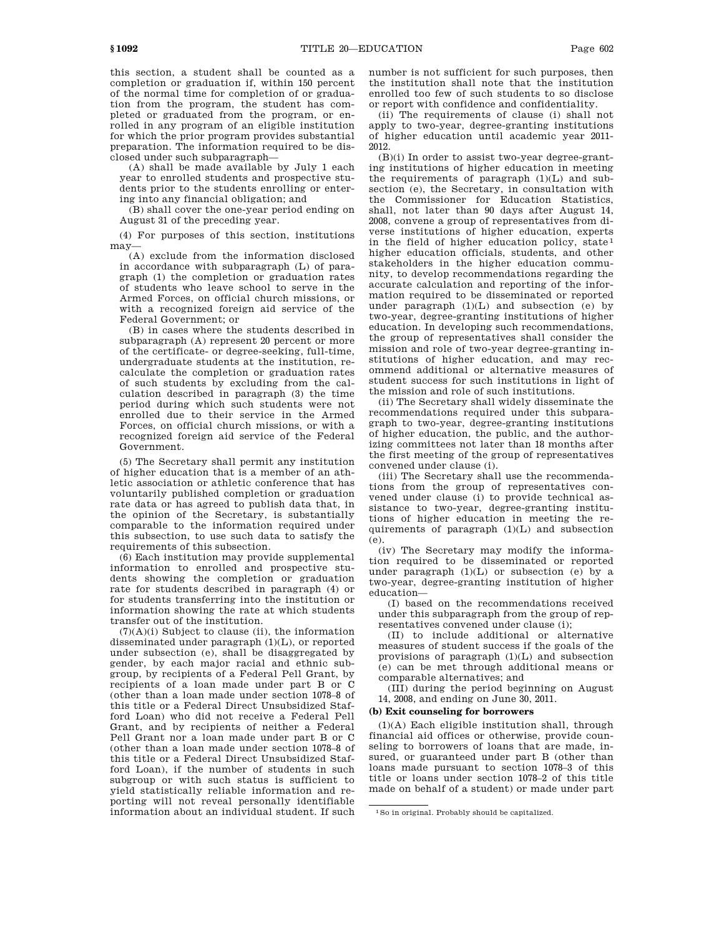this section, a student shall be counted as a completion or graduation if, within 150 percent of the normal time for completion of or graduation from the program, the student has completed or graduated from the program, or enrolled in any program of an eligible institution for which the prior program provides substantial preparation. The information required to be disclosed under such subparagraph—

(A) shall be made available by July 1 each year to enrolled students and prospective students prior to the students enrolling or entering into any financial obligation; and

(B) shall cover the one-year period ending on August 31 of the preceding year.

(4) For purposes of this section, institutions may—

(A) exclude from the information disclosed in accordance with subparagraph (L) of paragraph (1) the completion or graduation rates of students who leave school to serve in the Armed Forces, on official church missions, or with a recognized foreign aid service of the Federal Government; or

(B) in cases where the students described in subparagraph (A) represent 20 percent or more of the certificate- or degree-seeking, full-time, undergraduate students at the institution, recalculate the completion or graduation rates of such students by excluding from the calculation described in paragraph (3) the time period during which such students were not enrolled due to their service in the Armed Forces, on official church missions, or with a recognized foreign aid service of the Federal Government.

(5) The Secretary shall permit any institution of higher education that is a member of an athletic association or athletic conference that has voluntarily published completion or graduation rate data or has agreed to publish data that, in the opinion of the Secretary, is substantially comparable to the information required under this subsection, to use such data to satisfy the requirements of this subsection.

(6) Each institution may provide supplemental information to enrolled and prospective students showing the completion or graduation rate for students described in paragraph (4) or for students transferring into the institution or information showing the rate at which students transfer out of the institution.

(7)(A)(i) Subject to clause (ii), the information disseminated under paragraph (1)(L), or reported under subsection (e), shall be disaggregated by gender, by each major racial and ethnic subgroup, by recipients of a Federal Pell Grant, by recipients of a loan made under part B or C (other than a loan made under section 1078–8 of this title or a Federal Direct Unsubsidized Stafford Loan) who did not receive a Federal Pell Grant, and by recipients of neither a Federal Pell Grant nor a loan made under part B or C (other than a loan made under section 1078–8 of this title or a Federal Direct Unsubsidized Stafford Loan), if the number of students in such subgroup or with such status is sufficient to yield statistically reliable information and reporting will not reveal personally identifiable information about an individual student. If such number is not sufficient for such purposes, then the institution shall note that the institution enrolled too few of such students to so disclose or report with confidence and confidentiality.

(ii) The requirements of clause (i) shall not apply to two-year, degree-granting institutions of higher education until academic year 2011- 2012.

(B)(i) In order to assist two-year degree-granting institutions of higher education in meeting the requirements of paragraph  $(1)(L)$  and subsection (e), the Secretary, in consultation with the Commissioner for Education Statistics, shall, not later than 90 days after August 14, 2008, convene a group of representatives from diverse institutions of higher education, experts in the field of higher education policy, state<sup>1</sup> higher education officials, students, and other stakeholders in the higher education community, to develop recommendations regarding the accurate calculation and reporting of the information required to be disseminated or reported under paragraph  $(1)(L)$  and subsection (e) by two-year, degree-granting institutions of higher education. In developing such recommendations, the group of representatives shall consider the mission and role of two-year degree-granting institutions of higher education, and may recommend additional or alternative measures of student success for such institutions in light of the mission and role of such institutions.

(ii) The Secretary shall widely disseminate the recommendations required under this subparagraph to two-year, degree-granting institutions of higher education, the public, and the authorizing committees not later than 18 months after the first meeting of the group of representatives convened under clause (i).

(iii) The Secretary shall use the recommendations from the group of representatives convened under clause (i) to provide technical assistance to two-year, degree-granting institutions of higher education in meeting the requirements of paragraph  $(1)(L)$  and subsection (e).

(iv) The Secretary may modify the information required to be disseminated or reported under paragraph (1)(L) or subsection (e) by a two-year, degree-granting institution of higher education—

(I) based on the recommendations received under this subparagraph from the group of representatives convened under clause (i);

(II) to include additional or alternative measures of student success if the goals of the provisions of paragraph (1)(L) and subsection (e) can be met through additional means or comparable alternatives; and

(III) during the period beginning on August 14, 2008, and ending on June 30, 2011.

#### **(b) Exit counseling for borrowers**

(1)(A) Each eligible institution shall, through financial aid offices or otherwise, provide counseling to borrowers of loans that are made, insured, or guaranteed under part B (other than loans made pursuant to section 1078–3 of this title or loans under section 1078–2 of this title made on behalf of a student) or made under part

<sup>1</sup>So in original. Probably should be capitalized.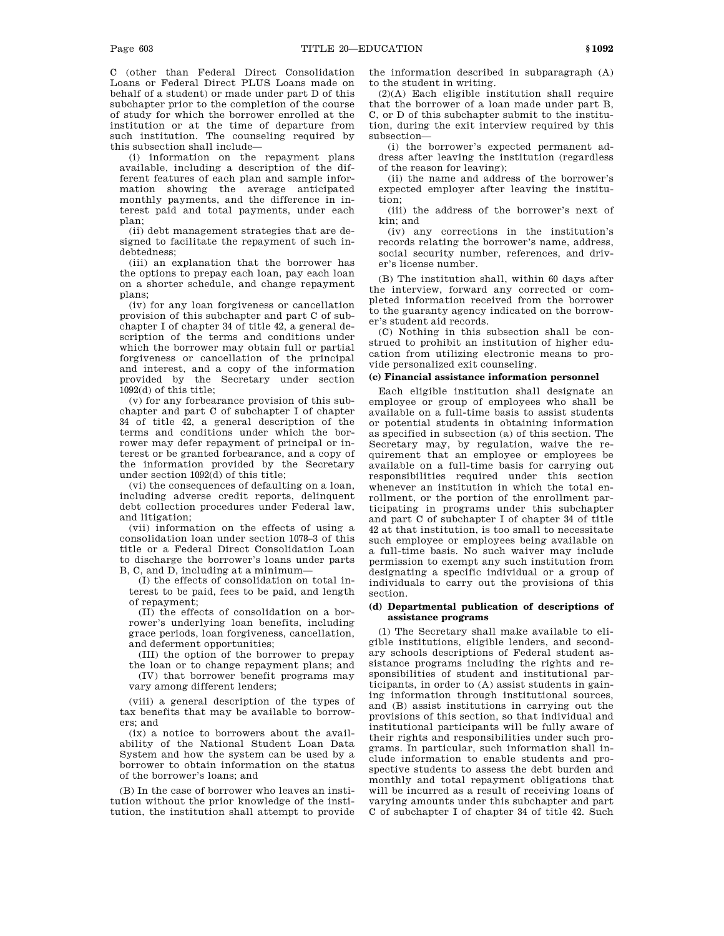C (other than Federal Direct Consolidation Loans or Federal Direct PLUS Loans made on behalf of a student) or made under part D of this subchapter prior to the completion of the course of study for which the borrower enrolled at the institution or at the time of departure from such institution. The counseling required by this subsection shall include—

(i) information on the repayment plans available, including a description of the different features of each plan and sample information showing the average anticipated monthly payments, and the difference in interest paid and total payments, under each plan;

(ii) debt management strategies that are designed to facilitate the repayment of such indebtedness;

(iii) an explanation that the borrower has the options to prepay each loan, pay each loan on a shorter schedule, and change repayment plans;

(iv) for any loan forgiveness or cancellation provision of this subchapter and part C of subchapter I of chapter 34 of title 42, a general description of the terms and conditions under which the borrower may obtain full or partial forgiveness or cancellation of the principal and interest, and a copy of the information provided by the Secretary under section 1092(d) of this title;

(v) for any forbearance provision of this subchapter and part C of subchapter I of chapter 34 of title 42, a general description of the terms and conditions under which the borrower may defer repayment of principal or interest or be granted forbearance, and a copy of the information provided by the Secretary under section 1092(d) of this title;

(vi) the consequences of defaulting on a loan, including adverse credit reports, delinquent debt collection procedures under Federal law, and litigation;

(vii) information on the effects of using a consolidation loan under section 1078–3 of this title or a Federal Direct Consolidation Loan to discharge the borrower's loans under parts B, C, and D, including at a minimum—

(I) the effects of consolidation on total interest to be paid, fees to be paid, and length of repayment;

(II) the effects of consolidation on a borrower's underlying loan benefits, including grace periods, loan forgiveness, cancellation, and deferment opportunities;

(III) the option of the borrower to prepay the loan or to change repayment plans; and (IV) that borrower benefit programs may

vary among different lenders;

(viii) a general description of the types of tax benefits that may be available to borrowers; and

(ix) a notice to borrowers about the availability of the National Student Loan Data System and how the system can be used by a borrower to obtain information on the status of the borrower's loans; and

(B) In the case of borrower who leaves an institution without the prior knowledge of the institution, the institution shall attempt to provide the information described in subparagraph (A) to the student in writing.

(2)(A) Each eligible institution shall require that the borrower of a loan made under part B, C, or D of this subchapter submit to the institution, during the exit interview required by this subsection—

(i) the borrower's expected permanent address after leaving the institution (regardless of the reason for leaving);

(ii) the name and address of the borrower's expected employer after leaving the institution;

(iii) the address of the borrower's next of kin; and

(iv) any corrections in the institution's records relating the borrower's name, address, social security number, references, and driver's license number.

(B) The institution shall, within 60 days after the interview, forward any corrected or completed information received from the borrower to the guaranty agency indicated on the borrower's student aid records.

(C) Nothing in this subsection shall be construed to prohibit an institution of higher education from utilizing electronic means to provide personalized exit counseling.

#### **(c) Financial assistance information personnel**

Each eligible institution shall designate an employee or group of employees who shall be available on a full-time basis to assist students or potential students in obtaining information as specified in subsection (a) of this section. The Secretary may, by regulation, waive the requirement that an employee or employees be available on a full-time basis for carrying out responsibilities required under this section whenever an institution in which the total enrollment, or the portion of the enrollment participating in programs under this subchapter and part C of subchapter I of chapter 34 of title 42 at that institution, is too small to necessitate such employee or employees being available on a full-time basis. No such waiver may include permission to exempt any such institution from designating a specific individual or a group of individuals to carry out the provisions of this section.

#### **(d) Departmental publication of descriptions of assistance programs**

(1) The Secretary shall make available to eligible institutions, eligible lenders, and secondary schools descriptions of Federal student assistance programs including the rights and responsibilities of student and institutional participants, in order to (A) assist students in gaining information through institutional sources, and (B) assist institutions in carrying out the provisions of this section, so that individual and institutional participants will be fully aware of their rights and responsibilities under such programs. In particular, such information shall include information to enable students and prospective students to assess the debt burden and monthly and total repayment obligations that will be incurred as a result of receiving loans of varying amounts under this subchapter and part C of subchapter I of chapter 34 of title 42. Such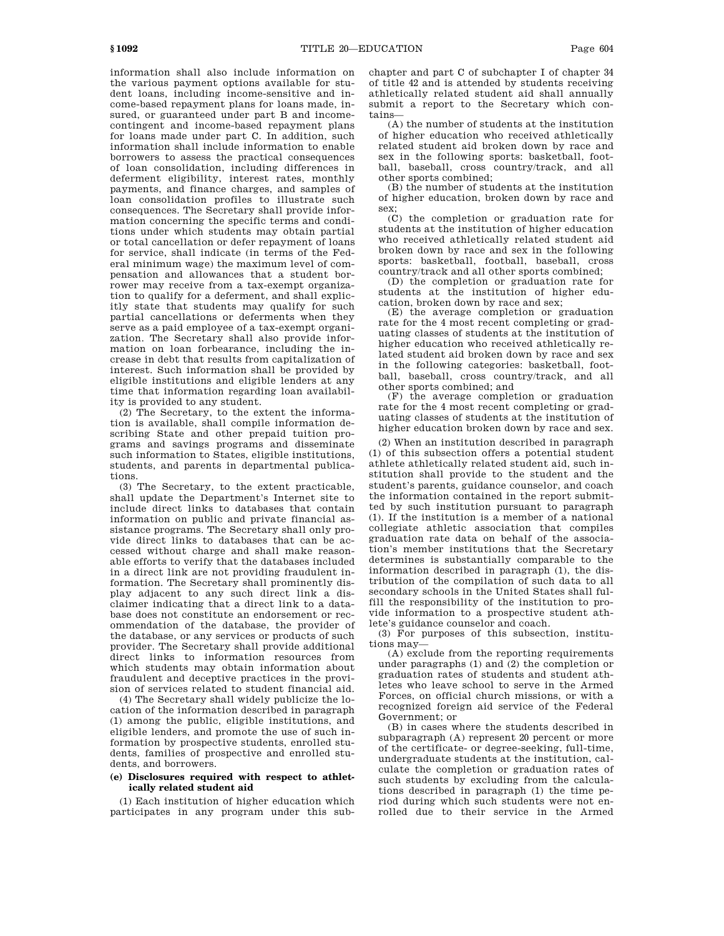information shall also include information on the various payment options available for student loans, including income-sensitive and income-based repayment plans for loans made, insured, or guaranteed under part B and incomecontingent and income-based repayment plans for loans made under part C. In addition, such information shall include information to enable borrowers to assess the practical consequences of loan consolidation, including differences in deferment eligibility, interest rates, monthly payments, and finance charges, and samples of loan consolidation profiles to illustrate such consequences. The Secretary shall provide information concerning the specific terms and conditions under which students may obtain partial or total cancellation or defer repayment of loans for service, shall indicate (in terms of the Federal minimum wage) the maximum level of compensation and allowances that a student borrower may receive from a tax-exempt organization to qualify for a deferment, and shall explicitly state that students may qualify for such partial cancellations or deferments when they serve as a paid employee of a tax-exempt organization. The Secretary shall also provide information on loan forbearance, including the increase in debt that results from capitalization of interest. Such information shall be provided by eligible institutions and eligible lenders at any time that information regarding loan availability is provided to any student.

(2) The Secretary, to the extent the information is available, shall compile information describing State and other prepaid tuition programs and savings programs and disseminate such information to States, eligible institutions, students, and parents in departmental publications.

(3) The Secretary, to the extent practicable, shall update the Department's Internet site to include direct links to databases that contain information on public and private financial assistance programs. The Secretary shall only provide direct links to databases that can be accessed without charge and shall make reasonable efforts to verify that the databases included in a direct link are not providing fraudulent information. The Secretary shall prominently display adjacent to any such direct link a disclaimer indicating that a direct link to a database does not constitute an endorsement or recommendation of the database, the provider of the database, or any services or products of such provider. The Secretary shall provide additional direct links to information resources from which students may obtain information about fraudulent and deceptive practices in the provision of services related to student financial aid.

(4) The Secretary shall widely publicize the location of the information described in paragraph (1) among the public, eligible institutions, and eligible lenders, and promote the use of such information by prospective students, enrolled students, families of prospective and enrolled students, and borrowers.

## **(e) Disclosures required with respect to athletically related student aid**

(1) Each institution of higher education which participates in any program under this subchapter and part C of subchapter I of chapter 34 of title 42 and is attended by students receiving athletically related student aid shall annually submit a report to the Secretary which contains—

(A) the number of students at the institution of higher education who received athletically related student aid broken down by race and sex in the following sports: basketball, football, baseball, cross country/track, and all other sports combined;

(B) the number of students at the institution of higher education, broken down by race and sex;

(C) the completion or graduation rate for students at the institution of higher education who received athletically related student aid broken down by race and sex in the following sports: basketball, football, baseball, cross country/track and all other sports combined;

(D) the completion or graduation rate for students at the institution of higher education, broken down by race and sex;

(E) the average completion or graduation rate for the 4 most recent completing or graduating classes of students at the institution of higher education who received athletically related student aid broken down by race and sex in the following categories: basketball, football, baseball, cross country/track, and all other sports combined; and

(F) the average completion or graduation rate for the 4 most recent completing or graduating classes of students at the institution of higher education broken down by race and sex.

(2) When an institution described in paragraph (1) of this subsection offers a potential student athlete athletically related student aid, such institution shall provide to the student and the student's parents, guidance counselor, and coach the information contained in the report submitted by such institution pursuant to paragraph (1). If the institution is a member of a national collegiate athletic association that compiles graduation rate data on behalf of the association's member institutions that the Secretary determines is substantially comparable to the information described in paragraph (1), the distribution of the compilation of such data to all secondary schools in the United States shall fulfill the responsibility of the institution to provide information to a prospective student athlete's guidance counselor and coach.

(3) For purposes of this subsection, institutions may—

(A) exclude from the reporting requirements under paragraphs (1) and (2) the completion or graduation rates of students and student athletes who leave school to serve in the Armed Forces, on official church missions, or with a recognized foreign aid service of the Federal Government; or

(B) in cases where the students described in subparagraph (A) represent 20 percent or more of the certificate- or degree-seeking, full-time, undergraduate students at the institution, calculate the completion or graduation rates of such students by excluding from the calculations described in paragraph (1) the time period during which such students were not enrolled due to their service in the Armed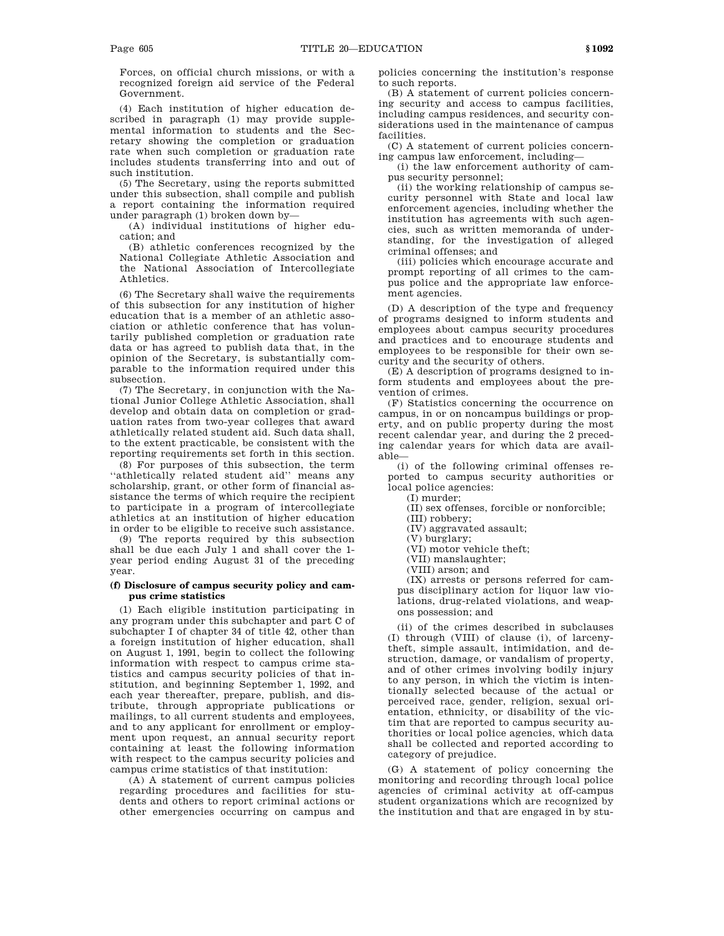Forces, on official church missions, or with a recognized foreign aid service of the Federal Government.

(4) Each institution of higher education described in paragraph (1) may provide supplemental information to students and the Secretary showing the completion or graduation rate when such completion or graduation rate includes students transferring into and out of such institution.

(5) The Secretary, using the reports submitted under this subsection, shall compile and publish a report containing the information required under paragraph (1) broken down by—

(A) individual institutions of higher education; and

(B) athletic conferences recognized by the National Collegiate Athletic Association and the National Association of Intercollegiate Athletics.

(6) The Secretary shall waive the requirements of this subsection for any institution of higher education that is a member of an athletic association or athletic conference that has voluntarily published completion or graduation rate data or has agreed to publish data that, in the opinion of the Secretary, is substantially comparable to the information required under this subsection.

(7) The Secretary, in conjunction with the National Junior College Athletic Association, shall develop and obtain data on completion or graduation rates from two-year colleges that award athletically related student aid. Such data shall, to the extent practicable, be consistent with the reporting requirements set forth in this section.

(8) For purposes of this subsection, the term "athletically related student aid" means any scholarship, grant, or other form of financial assistance the terms of which require the recipient to participate in a program of intercollegiate athletics at an institution of higher education in order to be eligible to receive such assistance.

(9) The reports required by this subsection shall be due each July 1 and shall cover the 1 year period ending August 31 of the preceding year.

### **(f) Disclosure of campus security policy and campus crime statistics**

(1) Each eligible institution participating in any program under this subchapter and part C of subchapter I of chapter 34 of title 42, other than a foreign institution of higher education, shall on August 1, 1991, begin to collect the following information with respect to campus crime statistics and campus security policies of that institution, and beginning September 1, 1992, and each year thereafter, prepare, publish, and distribute, through appropriate publications or mailings, to all current students and employees, and to any applicant for enrollment or employment upon request, an annual security report containing at least the following information with respect to the campus security policies and campus crime statistics of that institution:

(A) A statement of current campus policies regarding procedures and facilities for students and others to report criminal actions or other emergencies occurring on campus and policies concerning the institution's response to such reports.

(B) A statement of current policies concerning security and access to campus facilities, including campus residences, and security considerations used in the maintenance of campus facilities.

(C) A statement of current policies concerning campus law enforcement, including—

(i) the law enforcement authority of campus security personnel;

(ii) the working relationship of campus security personnel with State and local law enforcement agencies, including whether the institution has agreements with such agencies, such as written memoranda of understanding, for the investigation of alleged criminal offenses; and

(iii) policies which encourage accurate and prompt reporting of all crimes to the campus police and the appropriate law enforcement agencies.

(D) A description of the type and frequency of programs designed to inform students and employees about campus security procedures and practices and to encourage students and employees to be responsible for their own security and the security of others.

(E) A description of programs designed to inform students and employees about the prevention of crimes.

(F) Statistics concerning the occurrence on campus, in or on noncampus buildings or property, and on public property during the most recent calendar year, and during the 2 preceding calendar years for which data are available—

(i) of the following criminal offenses reported to campus security authorities or local police agencies:

(I) murder;

(II) sex offenses, forcible or nonforcible;

(III) robbery;

(IV) aggravated assault;

(V) burglary;

(VI) motor vehicle theft;

(VII) manslaughter;

(VIII) arson; and

(IX) arrests or persons referred for campus disciplinary action for liquor law violations, drug-related violations, and weapons possession; and

(ii) of the crimes described in subclauses (I) through (VIII) of clause (i), of larcenytheft, simple assault, intimidation, and destruction, damage, or vandalism of property, and of other crimes involving bodily injury to any person, in which the victim is intentionally selected because of the actual or perceived race, gender, religion, sexual orientation, ethnicity, or disability of the victim that are reported to campus security authorities or local police agencies, which data shall be collected and reported according to category of prejudice.

(G) A statement of policy concerning the monitoring and recording through local police agencies of criminal activity at off-campus student organizations which are recognized by the institution and that are engaged in by stu-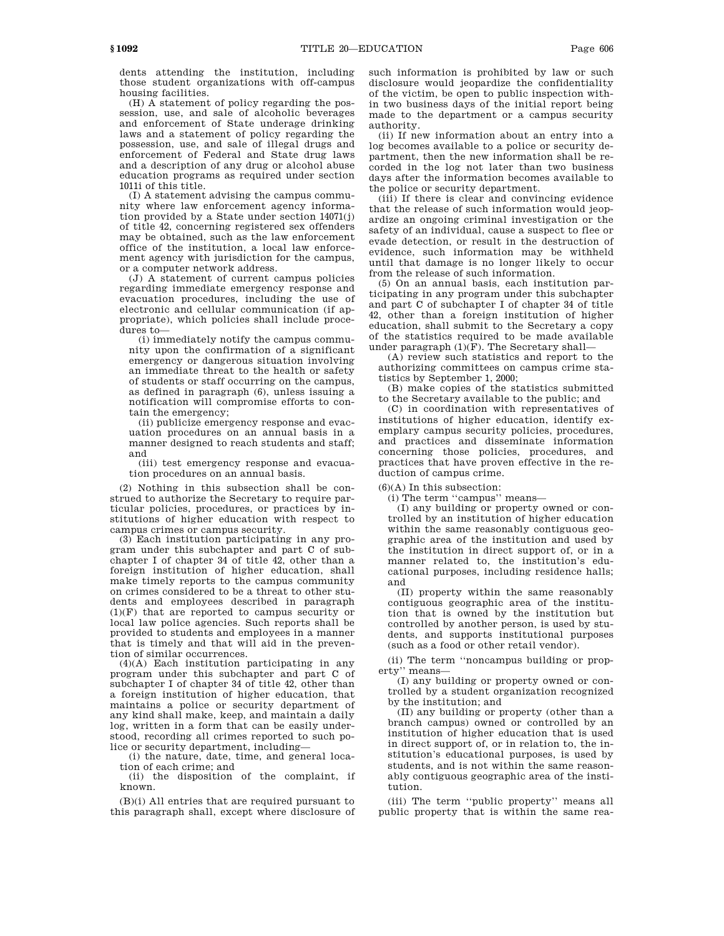dents attending the institution, including those student organizations with off-campus housing facilities.

(H) A statement of policy regarding the possession, use, and sale of alcoholic beverages and enforcement of State underage drinking laws and a statement of policy regarding the possession, use, and sale of illegal drugs and enforcement of Federal and State drug laws and a description of any drug or alcohol abuse education programs as required under section 1011i of this title.

(I) A statement advising the campus community where law enforcement agency information provided by a State under section 14071(j) of title 42, concerning registered sex offenders may be obtained, such as the law enforcement office of the institution, a local law enforcement agency with jurisdiction for the campus, or a computer network address.

(J) A statement of current campus policies regarding immediate emergency response and evacuation procedures, including the use of electronic and cellular communication (if appropriate), which policies shall include procedures to—

(i) immediately notify the campus community upon the confirmation of a significant emergency or dangerous situation involving an immediate threat to the health or safety of students or staff occurring on the campus, as defined in paragraph (6), unless issuing a notification will compromise efforts to contain the emergency;

(ii) publicize emergency response and evacuation procedures on an annual basis in a manner designed to reach students and staff; and

(iii) test emergency response and evacuation procedures on an annual basis.

(2) Nothing in this subsection shall be construed to authorize the Secretary to require particular policies, procedures, or practices by institutions of higher education with respect to campus crimes or campus security.

(3) Each institution participating in any program under this subchapter and part C of subchapter I of chapter 34 of title 42, other than a foreign institution of higher education, shall make timely reports to the campus community on crimes considered to be a threat to other students and employees described in paragraph (1)(F) that are reported to campus security or local law police agencies. Such reports shall be provided to students and employees in a manner that is timely and that will aid in the prevention of similar occurrences.

(4)(A) Each institution participating in any program under this subchapter and part C of subchapter I of chapter 34 of title 42, other than a foreign institution of higher education, that maintains a police or security department of any kind shall make, keep, and maintain a daily log, written in a form that can be easily understood, recording all crimes reported to such police or security department, including—

(i) the nature, date, time, and general location of each crime; and

(ii) the disposition of the complaint, if known.

(B)(i) All entries that are required pursuant to this paragraph shall, except where disclosure of such information is prohibited by law or such disclosure would jeopardize the confidentiality of the victim, be open to public inspection within two business days of the initial report being made to the department or a campus security authority.

(ii) If new information about an entry into a log becomes available to a police or security department, then the new information shall be recorded in the log not later than two business days after the information becomes available to the police or security department.

(iii) If there is clear and convincing evidence that the release of such information would jeopardize an ongoing criminal investigation or the safety of an individual, cause a suspect to flee or evade detection, or result in the destruction of evidence, such information may be withheld until that damage is no longer likely to occur from the release of such information.

(5) On an annual basis, each institution participating in any program under this subchapter and part C of subchapter I of chapter 34 of title 42, other than a foreign institution of higher education, shall submit to the Secretary a copy of the statistics required to be made available under paragraph  $(1)(F)$ . The Secretary shall-

(A) review such statistics and report to the authorizing committees on campus crime statistics by September 1, 2000;

(B) make copies of the statistics submitted to the Secretary available to the public; and

(C) in coordination with representatives of institutions of higher education, identify exemplary campus security policies, procedures, and practices and disseminate information concerning those policies, procedures, and practices that have proven effective in the reduction of campus crime.

 $(6)(A)$  In this subsection:

(i) The term ''campus'' means—

(I) any building or property owned or controlled by an institution of higher education within the same reasonably contiguous geographic area of the institution and used by the institution in direct support of, or in a manner related to, the institution's educational purposes, including residence halls; and

(II) property within the same reasonably contiguous geographic area of the institution that is owned by the institution but controlled by another person, is used by students, and supports institutional purposes (such as a food or other retail vendor).

(ii) The term ''noncampus building or property'' means—

(I) any building or property owned or controlled by a student organization recognized by the institution; and

(II) any building or property (other than a branch campus) owned or controlled by an institution of higher education that is used in direct support of, or in relation to, the institution's educational purposes, is used by students, and is not within the same reasonably contiguous geographic area of the institution.

(iii) The term ''public property'' means all public property that is within the same rea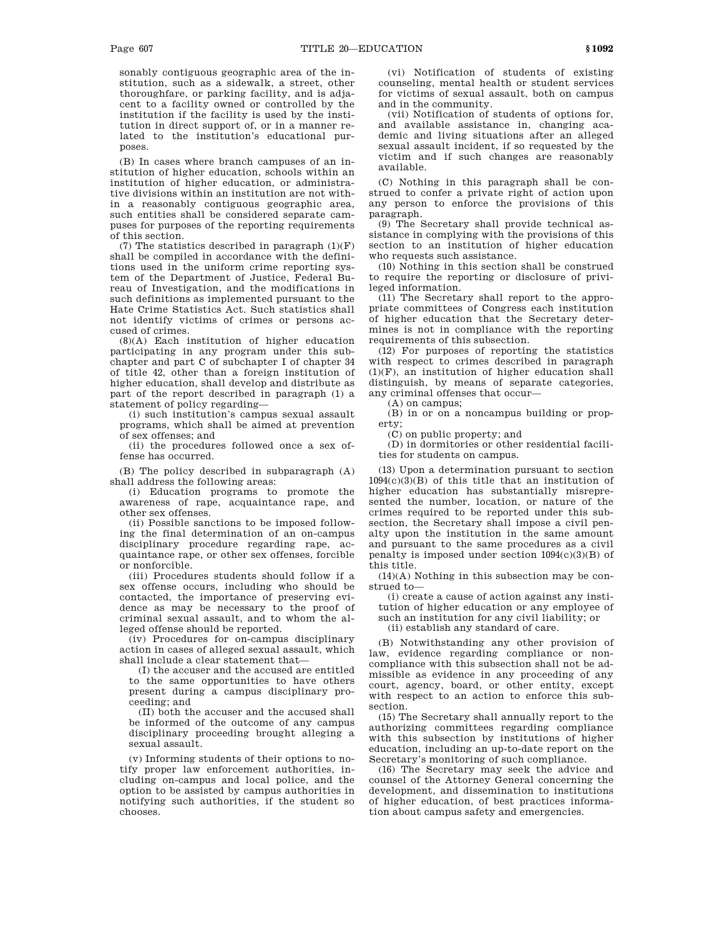sonably contiguous geographic area of the institution, such as a sidewalk, a street, other thoroughfare, or parking facility, and is adjacent to a facility owned or controlled by the institution if the facility is used by the institution in direct support of, or in a manner related to the institution's educational purposes.

(B) In cases where branch campuses of an institution of higher education, schools within an institution of higher education, or administrative divisions within an institution are not within a reasonably contiguous geographic area, such entities shall be considered separate campuses for purposes of the reporting requirements of this section.

(7) The statistics described in paragraph  $(1)(F)$ shall be compiled in accordance with the definitions used in the uniform crime reporting system of the Department of Justice, Federal Bureau of Investigation, and the modifications in such definitions as implemented pursuant to the Hate Crime Statistics Act. Such statistics shall not identify victims of crimes or persons accused of crimes.

(8)(A) Each institution of higher education participating in any program under this subchapter and part C of subchapter I of chapter 34 of title 42, other than a foreign institution of higher education, shall develop and distribute as part of the report described in paragraph (1) a statement of policy regarding—

(i) such institution's campus sexual assault programs, which shall be aimed at prevention of sex offenses; and

(ii) the procedures followed once a sex offense has occurred.

(B) The policy described in subparagraph (A) shall address the following areas:

(i) Education programs to promote the awareness of rape, acquaintance rape, and other sex offenses.

(ii) Possible sanctions to be imposed following the final determination of an on-campus disciplinary procedure regarding rape, acquaintance rape, or other sex offenses, forcible or nonforcible.

(iii) Procedures students should follow if a sex offense occurs, including who should be contacted, the importance of preserving evidence as may be necessary to the proof of criminal sexual assault, and to whom the alleged offense should be reported.

(iv) Procedures for on-campus disciplinary action in cases of alleged sexual assault, which shall include a clear statement that—

(I) the accuser and the accused are entitled to the same opportunities to have others present during a campus disciplinary proceeding; and

(II) both the accuser and the accused shall be informed of the outcome of any campus disciplinary proceeding brought alleging a sexual assault.

(v) Informing students of their options to notify proper law enforcement authorities, including on-campus and local police, and the option to be assisted by campus authorities in notifying such authorities, if the student so chooses.

(vi) Notification of students of existing counseling, mental health or student services for victims of sexual assault, both on campus and in the community.

(vii) Notification of students of options for, and available assistance in, changing academic and living situations after an alleged sexual assault incident, if so requested by the victim and if such changes are reasonably available.

(C) Nothing in this paragraph shall be construed to confer a private right of action upon any person to enforce the provisions of this paragraph.

(9) The Secretary shall provide technical assistance in complying with the provisions of this section to an institution of higher education who requests such assistance.

(10) Nothing in this section shall be construed to require the reporting or disclosure of privileged information.

(11) The Secretary shall report to the appropriate committees of Congress each institution of higher education that the Secretary determines is not in compliance with the reporting requirements of this subsection.

(12) For purposes of reporting the statistics with respect to crimes described in paragraph (1)(F), an institution of higher education shall distinguish, by means of separate categories, any criminal offenses that occur—

(A) on campus;

(B) in or on a noncampus building or property;

(C) on public property; and

(D) in dormitories or other residential facilities for students on campus.

(13) Upon a determination pursuant to section 1094(c)(3)(B) of this title that an institution of higher education has substantially misrepresented the number, location, or nature of the crimes required to be reported under this subsection, the Secretary shall impose a civil penalty upon the institution in the same amount and pursuant to the same procedures as a civil penalty is imposed under section  $1094(c)(3)(B)$  of this title.

(14)(A) Nothing in this subsection may be construed to—

(i) create a cause of action against any institution of higher education or any employee of such an institution for any civil liability; or

(ii) establish any standard of care.

(B) Notwithstanding any other provision of law, evidence regarding compliance or noncompliance with this subsection shall not be admissible as evidence in any proceeding of any court, agency, board, or other entity, except with respect to an action to enforce this subsection.

(15) The Secretary shall annually report to the authorizing committees regarding compliance with this subsection by institutions of higher education, including an up-to-date report on the Secretary's monitoring of such compliance.

(16) The Secretary may seek the advice and counsel of the Attorney General concerning the development, and dissemination to institutions of higher education, of best practices information about campus safety and emergencies.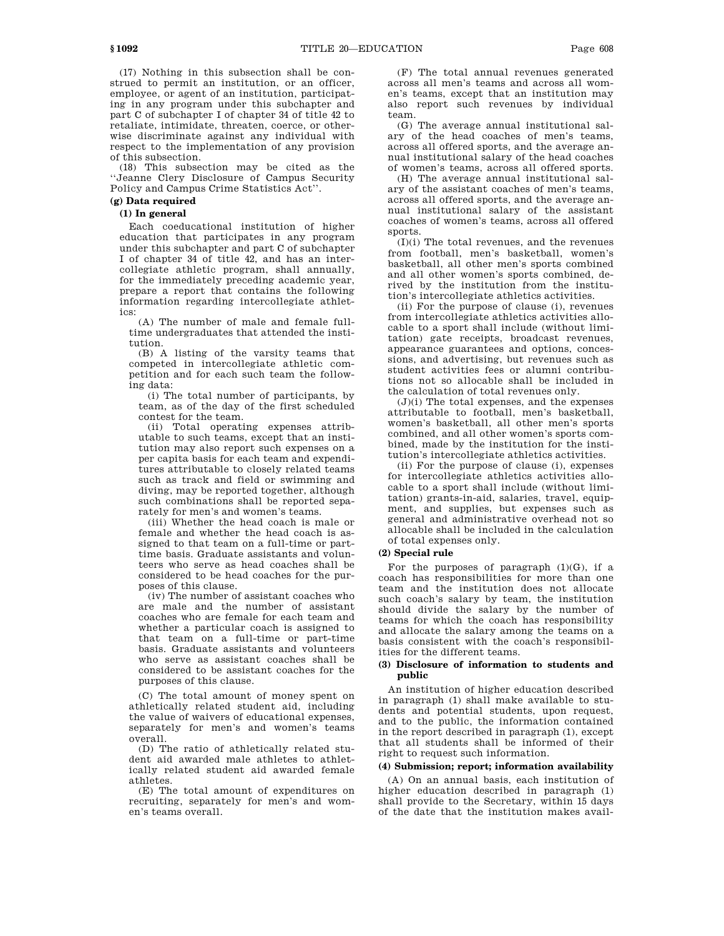(17) Nothing in this subsection shall be construed to permit an institution, or an officer, employee, or agent of an institution, participating in any program under this subchapter and part C of subchapter I of chapter 34 of title 42 to retaliate, intimidate, threaten, coerce, or otherwise discriminate against any individual with respect to the implementation of any provision of this subsection.

(18) This subsection may be cited as the ''Jeanne Clery Disclosure of Campus Security Policy and Campus Crime Statistics Act''.

# **(g) Data required**

# **(1) In general**

Each coeducational institution of higher education that participates in any program under this subchapter and part C of subchapter I of chapter 34 of title 42, and has an intercollegiate athletic program, shall annually, for the immediately preceding academic year, prepare a report that contains the following information regarding intercollegiate athletics:

(A) The number of male and female fulltime undergraduates that attended the institution.

(B) A listing of the varsity teams that competed in intercollegiate athletic competition and for each such team the following data:

(i) The total number of participants, by team, as of the day of the first scheduled contest for the team.

(ii) Total operating expenses attributable to such teams, except that an institution may also report such expenses on a per capita basis for each team and expenditures attributable to closely related teams such as track and field or swimming and diving, may be reported together, although such combinations shall be reported separately for men's and women's teams.

(iii) Whether the head coach is male or female and whether the head coach is assigned to that team on a full-time or parttime basis. Graduate assistants and volunteers who serve as head coaches shall be considered to be head coaches for the purposes of this clause.

(iv) The number of assistant coaches who are male and the number of assistant coaches who are female for each team and whether a particular coach is assigned to that team on a full-time or part-time basis. Graduate assistants and volunteers who serve as assistant coaches shall be considered to be assistant coaches for the purposes of this clause.

(C) The total amount of money spent on athletically related student aid, including the value of waivers of educational expenses, separately for men's and women's teams overall.

(D) The ratio of athletically related student aid awarded male athletes to athletically related student aid awarded female athletes.

(E) The total amount of expenditures on recruiting, separately for men's and women's teams overall.

(F) The total annual revenues generated across all men's teams and across all women's teams, except that an institution may also report such revenues by individual team.

(G) The average annual institutional salary of the head coaches of men's teams, across all offered sports, and the average annual institutional salary of the head coaches of women's teams, across all offered sports.

(H) The average annual institutional salary of the assistant coaches of men's teams, across all offered sports, and the average annual institutional salary of the assistant coaches of women's teams, across all offered sports

(I)(i) The total revenues, and the revenues from football, men's basketball, women's basketball, all other men's sports combined and all other women's sports combined, derived by the institution from the institution's intercollegiate athletics activities.

(ii) For the purpose of clause (i), revenues from intercollegiate athletics activities allocable to a sport shall include (without limitation) gate receipts, broadcast revenues, appearance guarantees and options, concessions, and advertising, but revenues such as student activities fees or alumni contributions not so allocable shall be included in the calculation of total revenues only.

(J)(i) The total expenses, and the expenses attributable to football, men's basketball, women's basketball, all other men's sports combined, and all other women's sports combined, made by the institution for the institution's intercollegiate athletics activities.

(ii) For the purpose of clause (i), expenses for intercollegiate athletics activities allocable to a sport shall include (without limitation) grants-in-aid, salaries, travel, equipment, and supplies, but expenses such as general and administrative overhead not so allocable shall be included in the calculation of total expenses only.

# **(2) Special rule**

For the purposes of paragraph  $(1)(G)$ , if a coach has responsibilities for more than one team and the institution does not allocate such coach's salary by team, the institution should divide the salary by the number of teams for which the coach has responsibility and allocate the salary among the teams on a basis consistent with the coach's responsibilities for the different teams.

## **(3) Disclosure of information to students and public**

An institution of higher education described in paragraph (1) shall make available to students and potential students, upon request, and to the public, the information contained in the report described in paragraph (1), except that all students shall be informed of their right to request such information.

# **(4) Submission; report; information availability**

(A) On an annual basis, each institution of higher education described in paragraph (1) shall provide to the Secretary, within 15 days of the date that the institution makes avail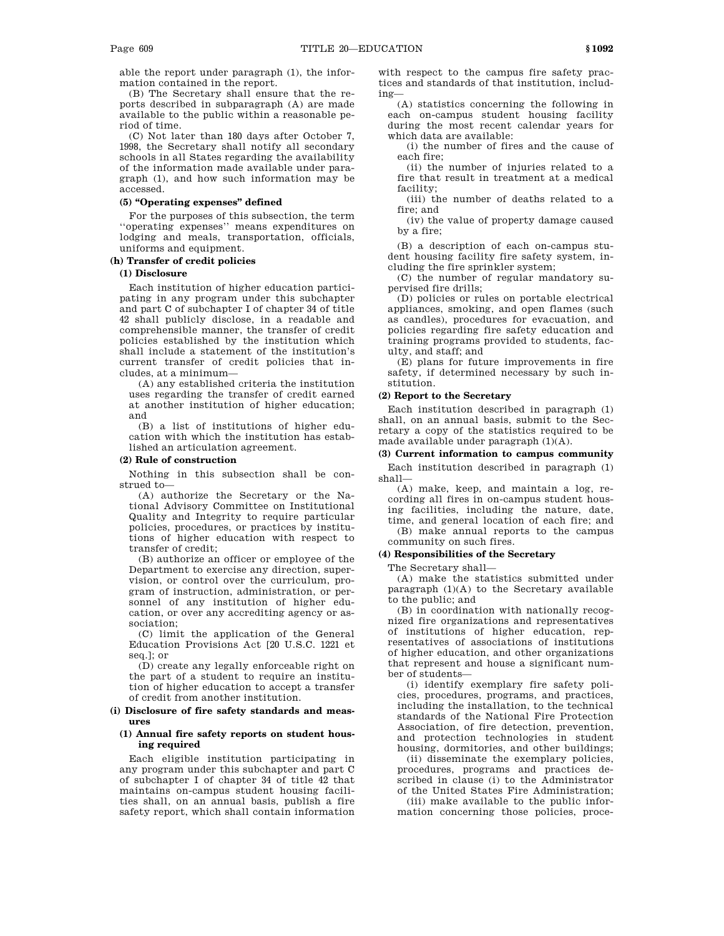able the report under paragraph (1), the information contained in the report.

(B) The Secretary shall ensure that the reports described in subparagraph (A) are made available to the public within a reasonable period of time.

(C) Not later than 180 days after October 7, 1998, the Secretary shall notify all secondary schools in all States regarding the availability of the information made available under paragraph (1), and how such information may be accessed.

## **(5) ''Operating expenses'' defined**

For the purposes of this subsection, the term ''operating expenses'' means expenditures on lodging and meals, transportation, officials, uniforms and equipment.

## **(h) Transfer of credit policies**

## **(1) Disclosure**

Each institution of higher education participating in any program under this subchapter and part C of subchapter I of chapter 34 of title 42 shall publicly disclose, in a readable and comprehensible manner, the transfer of credit policies established by the institution which shall include a statement of the institution's current transfer of credit policies that includes, at a minimum—

(A) any established criteria the institution uses regarding the transfer of credit earned at another institution of higher education; and

(B) a list of institutions of higher education with which the institution has established an articulation agreement.

#### **(2) Rule of construction**

Nothing in this subsection shall be construed to—

(A) authorize the Secretary or the National Advisory Committee on Institutional Quality and Integrity to require particular policies, procedures, or practices by institutions of higher education with respect to transfer of credit;

(B) authorize an officer or employee of the Department to exercise any direction, supervision, or control over the curriculum, program of instruction, administration, or personnel of any institution of higher education, or over any accrediting agency or association;

(C) limit the application of the General Education Provisions Act [20 U.S.C. 1221 et seq.]; or

(D) create any legally enforceable right on the part of a student to require an institution of higher education to accept a transfer of credit from another institution.

#### **(i) Disclosure of fire safety standards and measures**

#### **(1) Annual fire safety reports on student housing required**

Each eligible institution participating in any program under this subchapter and part C of subchapter I of chapter 34 of title 42 that maintains on-campus student housing facilities shall, on an annual basis, publish a fire safety report, which shall contain information

with respect to the campus fire safety practices and standards of that institution, including—

(A) statistics concerning the following in each on-campus student housing facility during the most recent calendar years for which data are available:

(i) the number of fires and the cause of each fire;

(ii) the number of injuries related to a fire that result in treatment at a medical facility;

(iii) the number of deaths related to a fire; and

(iv) the value of property damage caused by a fire;

(B) a description of each on-campus student housing facility fire safety system, including the fire sprinkler system;

(C) the number of regular mandatory supervised fire drills;

(D) policies or rules on portable electrical appliances, smoking, and open flames (such as candles), procedures for evacuation, and policies regarding fire safety education and training programs provided to students, faculty, and staff; and

(E) plans for future improvements in fire safety, if determined necessary by such institution.

## **(2) Report to the Secretary**

Each institution described in paragraph (1) shall, on an annual basis, submit to the Secretary a copy of the statistics required to be made available under paragraph (1)(A).

#### **(3) Current information to campus community**

Each institution described in paragraph (1) shall—

(A) make, keep, and maintain a log, recording all fires in on-campus student housing facilities, including the nature, date, time, and general location of each fire; and (B) make annual reports to the campus community on such fires.

#### **(4) Responsibilities of the Secretary**

The Secretary shall—

(A) make the statistics submitted under paragraph  $(1)(A)$  to the Secretary available to the public; and

(B) in coordination with nationally recognized fire organizations and representatives of institutions of higher education, representatives of associations of institutions of higher education, and other organizations that represent and house a significant number of students—

(i) identify exemplary fire safety policies, procedures, programs, and practices, including the installation, to the technical standards of the National Fire Protection Association, of fire detection, prevention, and protection technologies in student housing, dormitories, and other buildings;

(ii) disseminate the exemplary policies, procedures, programs and practices described in clause (i) to the Administrator of the United States Fire Administration;

(iii) make available to the public information concerning those policies, proce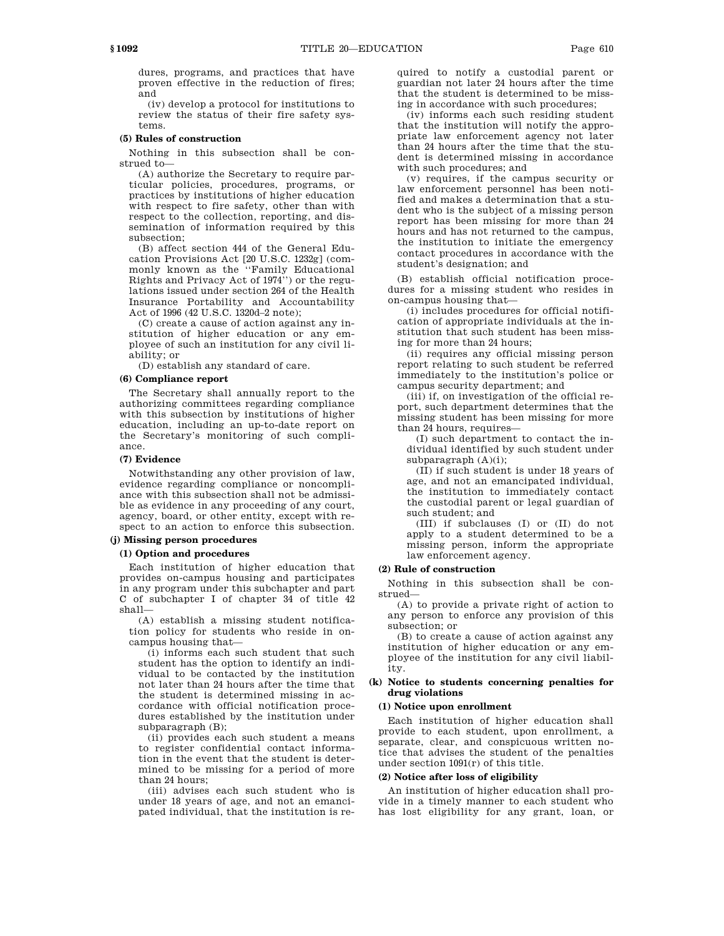dures, programs, and practices that have proven effective in the reduction of fires; and

(iv) develop a protocol for institutions to review the status of their fire safety systems.

#### **(5) Rules of construction**

Nothing in this subsection shall be construed to—

(A) authorize the Secretary to require particular policies, procedures, programs, or practices by institutions of higher education with respect to fire safety, other than with respect to the collection, reporting, and dissemination of information required by this subsection;

(B) affect section 444 of the General Education Provisions Act [20 U.S.C. 1232g] (commonly known as the ''Family Educational Rights and Privacy Act of 1974'') or the regulations issued under section 264 of the Health Insurance Portability and Accountability Act of 1996 (42 U.S.C. 1320d–2 note);

(C) create a cause of action against any institution of higher education or any employee of such an institution for any civil liability; or

(D) establish any standard of care.

## **(6) Compliance report**

The Secretary shall annually report to the authorizing committees regarding compliance with this subsection by institutions of higher education, including an up-to-date report on the Secretary's monitoring of such compliance.

## **(7) Evidence**

Notwithstanding any other provision of law, evidence regarding compliance or noncompliance with this subsection shall not be admissible as evidence in any proceeding of any court, agency, board, or other entity, except with respect to an action to enforce this subsection.

## **(j) Missing person procedures**

## **(1) Option and procedures**

Each institution of higher education that provides on-campus housing and participates in any program under this subchapter and part C of subchapter I of chapter 34 of title 42 shall—

(A) establish a missing student notification policy for students who reside in oncampus housing that—

(i) informs each such student that such student has the option to identify an individual to be contacted by the institution not later than 24 hours after the time that the student is determined missing in accordance with official notification procedures established by the institution under subparagraph (B);

(ii) provides each such student a means to register confidential contact information in the event that the student is determined to be missing for a period of more than 24 hours;

(iii) advises each such student who is under 18 years of age, and not an emancipated individual, that the institution is required to notify a custodial parent or guardian not later 24 hours after the time that the student is determined to be missing in accordance with such procedures;

(iv) informs each such residing student that the institution will notify the appropriate law enforcement agency not later than 24 hours after the time that the student is determined missing in accordance with such procedures; and

(v) requires, if the campus security or law enforcement personnel has been notified and makes a determination that a student who is the subject of a missing person report has been missing for more than 24 hours and has not returned to the campus, the institution to initiate the emergency contact procedures in accordance with the student's designation; and

(B) establish official notification procedures for a missing student who resides in on-campus housing that—

(i) includes procedures for official notification of appropriate individuals at the institution that such student has been missing for more than 24 hours;

(ii) requires any official missing person report relating to such student be referred immediately to the institution's police or campus security department; and

(iii) if, on investigation of the official report, such department determines that the missing student has been missing for more than 24 hours, requires—

(I) such department to contact the individual identified by such student under subparagraph (A)(i);

(II) if such student is under 18 years of age, and not an emancipated individual, the institution to immediately contact the custodial parent or legal guardian of such student; and

(III) if subclauses (I) or (II) do not apply to a student determined to be a missing person, inform the appropriate law enforcement agency.

## **(2) Rule of construction**

Nothing in this subsection shall be construed—

(A) to provide a private right of action to any person to enforce any provision of this subsection; or

(B) to create a cause of action against any institution of higher education or any employee of the institution for any civil liability.

## **(k) Notice to students concerning penalties for drug violations**

#### **(1) Notice upon enrollment**

Each institution of higher education shall provide to each student, upon enrollment, a separate, clear, and conspicuous written notice that advises the student of the penalties under section 1091(r) of this title.

#### **(2) Notice after loss of eligibility**

An institution of higher education shall provide in a timely manner to each student who has lost eligibility for any grant, loan, or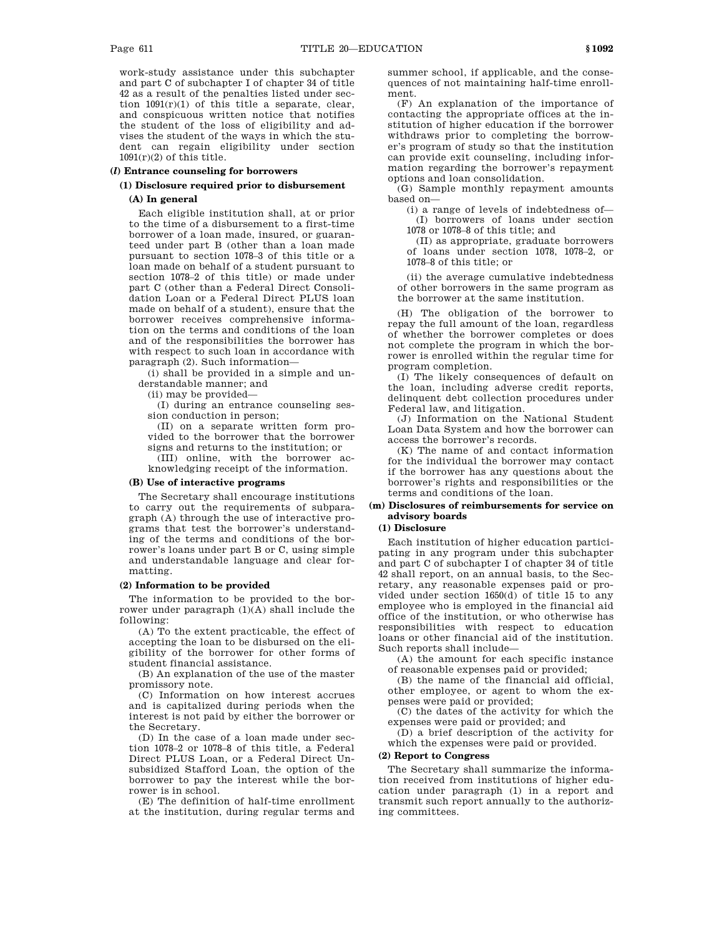work-study assistance under this subchapter and part C of subchapter I of chapter 34 of title 42 as a result of the penalties listed under section 1091(r)(1) of this title a separate, clear, and conspicuous written notice that notifies the student of the loss of eligibility and advises the student of the ways in which the student can regain eligibility under section  $1091(r)(2)$  of this title.

## **(***l***) Entrance counseling for borrowers**

# **(1) Disclosure required prior to disbursement**

# **(A) In general**

Each eligible institution shall, at or prior to the time of a disbursement to a first-time borrower of a loan made, insured, or guaranteed under part B (other than a loan made pursuant to section 1078–3 of this title or a loan made on behalf of a student pursuant to section 1078–2 of this title) or made under part C (other than a Federal Direct Consolidation Loan or a Federal Direct PLUS loan made on behalf of a student), ensure that the borrower receives comprehensive information on the terms and conditions of the loan and of the responsibilities the borrower has with respect to such loan in accordance with paragraph (2). Such information—

(i) shall be provided in a simple and understandable manner; and

(ii) may be provided—

(I) during an entrance counseling session conduction in person;

(II) on a separate written form provided to the borrower that the borrower signs and returns to the institution; or

(III) online, with the borrower acknowledging receipt of the information.

## **(B) Use of interactive programs**

The Secretary shall encourage institutions to carry out the requirements of subparagraph (A) through the use of interactive programs that test the borrower's understanding of the terms and conditions of the borrower's loans under part B or C, using simple and understandable language and clear formatting.

#### **(2) Information to be provided**

The information to be provided to the borrower under paragraph (1)(A) shall include the following:

(A) To the extent practicable, the effect of accepting the loan to be disbursed on the eligibility of the borrower for other forms of student financial assistance.

(B) An explanation of the use of the master promissory note.

(C) Information on how interest accrues and is capitalized during periods when the interest is not paid by either the borrower or the Secretary.

(D) In the case of a loan made under section 1078–2 or 1078–8 of this title, a Federal Direct PLUS Loan, or a Federal Direct Unsubsidized Stafford Loan, the option of the borrower to pay the interest while the borrower is in school.

(E) The definition of half-time enrollment at the institution, during regular terms and summer school, if applicable, and the consequences of not maintaining half-time enrollment.

(F) An explanation of the importance of contacting the appropriate offices at the institution of higher education if the borrower withdraws prior to completing the borrower's program of study so that the institution can provide exit counseling, including information regarding the borrower's repayment options and loan consolidation.

(G) Sample monthly repayment amounts based on—

(i) a range of levels of indebtedness of— (I) borrowers of loans under section 1078 or 1078–8 of this title; and

(II) as appropriate, graduate borrowers of loans under section 1078, 1078–2, or 1078–8 of this title; or

(ii) the average cumulative indebtedness of other borrowers in the same program as the borrower at the same institution.

(H) The obligation of the borrower to repay the full amount of the loan, regardless of whether the borrower completes or does not complete the program in which the borrower is enrolled within the regular time for program completion.

(I) The likely consequences of default on the loan, including adverse credit reports, delinquent debt collection procedures under Federal law, and litigation.

(J) Information on the National Student Loan Data System and how the borrower can access the borrower's records.

(K) The name of and contact information for the individual the borrower may contact if the borrower has any questions about the borrower's rights and responsibilities or the terms and conditions of the loan.

## **(m) Disclosures of reimbursements for service on advisory boards**

#### **(1) Disclosure**

Each institution of higher education participating in any program under this subchapter and part C of subchapter I of chapter 34 of title 42 shall report, on an annual basis, to the Secretary, any reasonable expenses paid or provided under section 1650(d) of title 15 to any employee who is employed in the financial aid office of the institution, or who otherwise has responsibilities with respect to education loans or other financial aid of the institution. Such reports shall include—

(A) the amount for each specific instance of reasonable expenses paid or provided;

(B) the name of the financial aid official, other employee, or agent to whom the expenses were paid or provided;

(C) the dates of the activity for which the expenses were paid or provided; and

(D) a brief description of the activity for which the expenses were paid or provided.

### **(2) Report to Congress**

The Secretary shall summarize the information received from institutions of higher education under paragraph (1) in a report and transmit such report annually to the authorizing committees.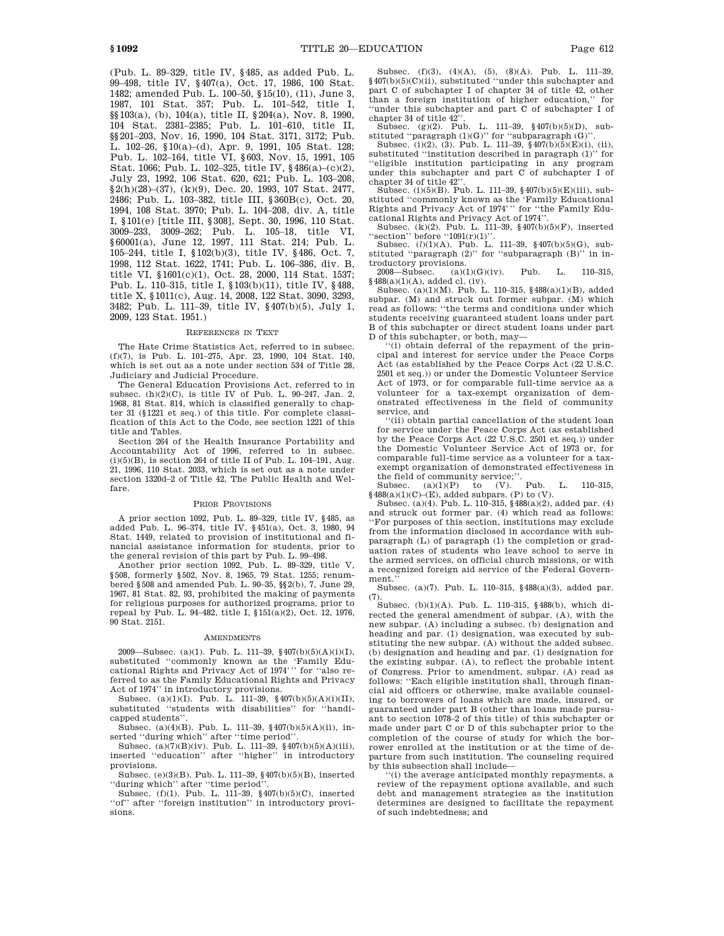(Pub. L. 89–329, title IV, §485, as added Pub. L. 99–498, title IV, §407(a), Oct. 17, 1986, 100 Stat. 1482; amended Pub. L. 100–50, §15(10), (11), June 3, 1987, 101 Stat. 357; Pub. L. 101–542, title I, §§103(a), (b), 104(a), title II, §204(a), Nov. 8, 1990, 104 Stat. 2381–2385; Pub. L. 101–610, title II, §§201–203, Nov. 16, 1990, 104 Stat. 3171, 3172; Pub. L. 102–26, §10(a)–(d), Apr. 9, 1991, 105 Stat. 128; Pub. L. 102–164, title VI, §603, Nov. 15, 1991, 105 Stat. 1066; Pub. L. 102–325, title IV, §486(a)–(c)(2), July 23, 1992, 106 Stat. 620, 621; Pub. L. 103–208, §2(h)(28)–(37), (k)(9), Dec. 20, 1993, 107 Stat. 2477, 2486; Pub. L. 103–382, title III, §360B(c), Oct. 20, 1994, 108 Stat. 3970; Pub. L. 104–208, div. A, title I, §101(e) [title III, §308], Sept. 30, 1996, 110 Stat. 3009–233, 3009–262; Pub. L. 105–18, title VI, §60001(a), June 12, 1997, 111 Stat. 214; Pub. L. 105–244, title I, §102(b)(3), title IV, §486, Oct. 7, 1998, 112 Stat. 1622, 1741; Pub. L. 106–386, div. B, title VI, §1601(c)(1), Oct. 28, 2000, 114 Stat. 1537; Pub. L. 110–315, title I, §103(b)(11), title IV, §488,

## REFERENCES IN TEXT

title X, §1011(c), Aug. 14, 2008, 122 Stat. 3090, 3293, 3482; Pub. L. 111–39, title IV, §407(b)(5), July 1,

2009, 123 Stat. 1951.)

The Hate Crime Statistics Act, referred to in subsec. (f)(7), is Pub. L. 101–275, Apr. 23, 1990, 104 Stat. 140, which is set out as a note under section 534 of Title 28, Judiciary and Judicial Procedure.

The General Education Provisions Act, referred to in subsec.  $(h)(2)(C)$ , is title IV of Pub. L. 90–247, Jan. 2, 1968, 81 Stat. 814, which is classified generally to chapter 31 (§1221 et seq.) of this title. For complete classification of this Act to the Code, see section 1221 of this title and Tables.

Section 264 of the Health Insurance Portability and Accountability Act of 1996, referred to in subsec.  $(i)(5)(B)$ , is section 264 of title II of Pub. L. 104-191, Aug. 21, 1996, 110 Stat. 2033, which is set out as a note under section 1320d–2 of Title 42, The Public Health and Welfare.

#### PRIOR PROVISIONS

A prior section 1092, Pub. L. 89–329, title IV, §485, as added Pub. L. 96–374, title IV, §451(a), Oct. 3, 1980, 94 Stat. 1449, related to provision of institutional and financial assistance information for students, prior to the general revision of this part by Pub. L. 99–498.

Another prior section 1092, Pub. L. 89–329, title V, §508, formerly §502, Nov. 8, 1965, 79 Stat. 1255; renumbered §508 and amended Pub. L. 90–35, §§2(b), 7, June 29, 1967, 81 Stat. 82, 93, prohibited the making of payments for religious purposes for authorized programs, prior to repeal by Pub. L. 94–482, title I, §151(a)(2), Oct. 12, 1976, 90 Stat. 2151.

#### AMENDMENTS

2009—Subsec. (a)(1). Pub. L. 111–39, §407(b)(5)(A)(i)(I), substituted ''commonly known as the 'Family Educational Rights and Privacy Act of 1974''' for ''also referred to as the Family Educational Rights and Privacy Act of 1974'' in introductory provisions.

Subsec. (a)(1)(I). Pub. L. 111–39, §407(b)(5)(A)(i)(II), substituted ''students with disabilities'' for ''handicapped students''.

Subsec. (a)(4)(B). Pub. L. 111-39,  $\frac{6407(b)(5)(A)(ii)}{11-3666}$ , inserted ''during which'' after ''time period''.

Subsec. (a)(7)(B)(iv). Pub. L. 111–39, §407(b)(5)(A)(iii), inserted ''education'' after ''higher'' in introductory provisions.

Subsec. (e)(3)(B). Pub. L. 111–39, §407(b)(5)(B), inserted ''during which'' after ''time period''.

Subsec. (f)(1). Pub. L. 111–39, §407(b)(5)(C), inserted "of" after "foreign institution" in introductory provisions.

Subsec. (f)(3), (4)(A), (5), (8)(A). Pub. L. 111–39, §407(b)(5)(C)(ii), substituted ''under this subchapter and part C of subchapter I of chapter 34 of title 42, other than a foreign institution of higher education,'' for ''under this subchapter and part C of subchapter I of chapter 34 of title 42'

Subsec. (g)(2). Pub. L. 111–39, §407(b)(5)(D), sub-<br>stituted "paragraph (1)(G)" for "subparagraph (G)".<br>Subsec. (i)(2), (3). Pub. L. 111–39, §407(b)(5)(E)(i), (ii),

substituted ''institution described in paragraph (1)'' for ''eligible institution participating in any program under this subchapter and part C of subchapter I of chapter 34 of title 42'

Subsec. (i)(5)(B). Pub. L. 111–39, §407(b)(5)(E)(iii), substituted ''commonly known as the 'Family Educational Rights and Privacy Act of 1974''' for ''the Family Edu-

cational Rights and Privacy Act of 1974''. Subsec. (k)(2). Pub. L. 111–39, §407(b)(5)(F), inserted

''section'' before ''1091(r)(1)''. Subsec. (*l*)(1)(A). Pub. L. 111–39, §407(b)(5)(G), sub-stituted ''paragraph (2)'' for ''subparagraph (B)'' in introductory provisions. 2008—Subsec. (a)(1)(G)(iv). Pub. L. 110–315,

§488(a)(1)(A), added cl. (iv). Subsec. (a)(1)(M). Pub. L. 110–315, §488(a)(1)(B), added

subpar. (M) and struck out former subpar. (M) which read as follows: ''the terms and conditions under which students receiving guaranteed student loans under part B of this subchapter or direct student loans under part D of this subchapter, or both, may—

''(i) obtain deferral of the repayment of the principal and interest for service under the Peace Corps Act (as established by the Peace Corps Act (22 U.S.C. 2501 et seq.)) or under the Domestic Volunteer Service Act of 1973, or for comparable full-time service as a volunteer for a tax-exempt organization of demonstrated effectiveness in the field of community service, and

''(ii) obtain partial cancellation of the student loan for service under the Peace Corps Act (as established by the Peace Corps Act (22 U.S.C. 2501 et seq.)) under the Domestic Volunteer Service Act of 1973 or, for comparable full-time service as a volunteer for a taxexempt organization of demonstrated effectiveness in the field of community service;".<br>Subsec.  $(a)(1)(P)$  to  $(V)$ .

(a)(1)(P) to (V). Pub. L. 110-315, §488(a)(1)(C)–(E), added subpars. (P) to (V). Subsec. (a)(4). Pub. L. 110–315, §488(a)(2), added par. (4)

and struck out former par. (4) which read as follows: ''For purposes of this section, institutions may exclude from the information disclosed in accordance with subparagraph (L) of paragraph (1) the completion or graduation rates of students who leave school to serve in the armed services, on official church missions, or with a recognized foreign aid service of the Federal Government.'

Subsec. (a)(7). Pub. L. 110–315, §488(a)(3), added par.

(7). Subsec. (b)(1)(A). Pub. L. 110–315, §488(b), which directed the general amendment of subpar. (A), with the new subpar. (A) including a subsec. (b) designation and heading and par. (1) designation, was executed by substituting the new subpar. (A) without the added subsec. (b) designation and heading and par. (1) designation for the existing subpar. (A), to reflect the probable intent of Congress. Prior to amendment, subpar. (A) read as follows: ''Each eligible institution shall, through financial aid officers or otherwise, make available counseling to borrowers of loans which are made, insured, or guaranteed under part B (other than loans made pursuant to section 1078–2 of this title) of this subchapter or made under part C or D of this subchapter prior to the completion of the course of study for which the borrower enrolled at the institution or at the time of departure from such institution. The counseling required by this subsection shall include—

 $(i)$  the average anticipated monthly repayments, a review of the repayment options available, and such debt and management strategies as the institution determines are designed to facilitate the repayment of such indebtedness; and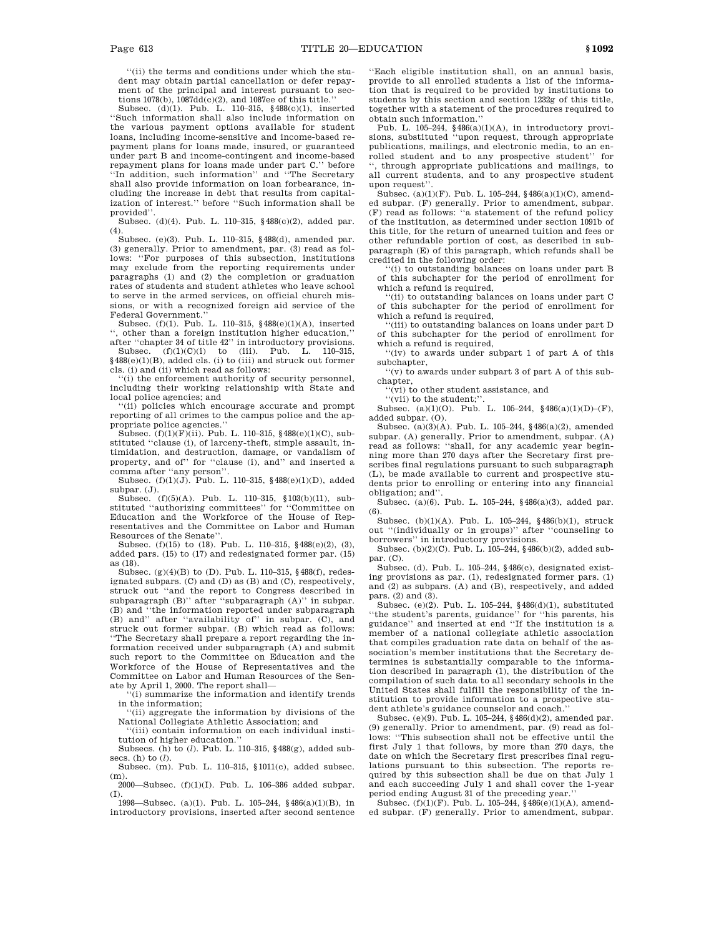''(ii) the terms and conditions under which the student may obtain partial cancellation or defer repayment of the principal and interest pursuant to sections 1078(b), 1087dd(c)(2), and 1087ee of this title.''

Subsec. (d)(1). Pub. L. 110–315, §488(c)(1), inserted ''Such information shall also include information on the various payment options available for student loans, including income-sensitive and income-based repayment plans for loans made, insured, or guaranteed under part B and income-contingent and income-based repayment plans for loans made under part C.'' before ''In addition, such information'' and ''The Secretary shall also provide information on loan forbearance, including the increase in debt that results from capitalization of interest.'' before ''Such information shall be provided''.

Subsec. (d)(4). Pub. L. 110–315, §488(c)(2), added par. (4).

Subsec. (e)(3). Pub. L. 110–315, §488(d), amended par. (3) generally. Prior to amendment, par. (3) read as follows: ''For purposes of this subsection, institutions may exclude from the reporting requirements under paragraphs (1) and (2) the completion or graduation rates of students and student athletes who leave school to serve in the armed services, on official church missions, or with a recognized foreign aid service of the Federal Government.''

Subsec.  $(f)(1)$ . Pub. L. 110–315,  $§488(e)(1)(A)$ , inserted '', other than a foreign institution higher education,''

after ''chapter 34 of title 42'' in introductory provisions. Subsec. (f)(1)(C)(i) to (iii). Pub. L. 110–315, Subsec.  $(f)(1)(C)(i)$  to (iii). Pub. L. 110-315,  $$488(e)(1)(B)$ , added cls. (i) to (iii) and struck out former

cls. (i) and (ii) which read as follows: ''(i) the enforcement authority of security personnel, including their working relationship with State and local police agencies; and

''(ii) policies which encourage accurate and prompt reporting of all crimes to the campus police and the appropriate police agencies.

Subsec. (f)(1)(F)(ii). Pub. L. 110–315, §488(e)(1)(C), substituted ''clause (i), of larceny-theft, simple assault, intimidation, and destruction, damage, or vandalism of property, and of'' for ''clause (i), and'' and inserted a comma after ''any person''.

Subsec. (f)(1)(J). Pub. L. 110–315, §488(e)(1)(D), added subpar. (J).

Subsec. (f)(5)(A). Pub. L. 110–315, §103(b)(11), substituted ''authorizing committees'' for ''Committee on Education and the Workforce of the House of Representatives and the Committee on Labor and Human Resources of the Senate''.

Subsec. (f)(15) to (18). Pub. L. 110–315, §488(e)(2), (3), added pars. (15) to (17) and redesignated former par. (15) as (18).

Subsec. (g)(4)(B) to (D). Pub. L. 110–315, §488(f), redesignated subpars. (C) and (D) as (B) and (C), respectively, struck out ''and the report to Congress described in subparagraph (B)'' after ''subparagraph (A)'' in subpar. (B) and ''the information reported under subparagraph (B) and'' after ''availability of'' in subpar. (C), and struck out former subpar. (B) which read as follows: ''The Secretary shall prepare a report regarding the information received under subparagraph (A) and submit such report to the Committee on Education and the Workforce of the House of Representatives and the Committee on Labor and Human Resources of the Senate by April 1, 2000. The report shall—

''(i) summarize the information and identify trends in the information;

''(ii) aggregate the information by divisions of the National Collegiate Athletic Association; and

'(iii) contain information on each individual institution of higher education.''

Subsecs. (h) to (*l*). Pub. L. 110–315, §488(g), added subsecs. (h) to (*l*).

Subsec. (m). Pub. L. 110–315, §1011(c), added subsec. (m).

2000—Subsec. (f)(1)(I). Pub. L. 106–386 added subpar. (I).

1998—Subsec. (a)(1). Pub. L. 105–244, §486(a)(1)(B), in introductory provisions, inserted after second sentence ''Each eligible institution shall, on an annual basis, provide to all enrolled students a list of the information that is required to be provided by institutions to students by this section and section 1232g of this title, together with a statement of the procedures required to obtain such information.''

Pub. L. 105-244,  $§486(a)(1)(A)$ , in introductory provisions, substituted ''upon request, through appropriate publications, mailings, and electronic media, to an enrolled student and to any prospective student'' for '', through appropriate publications and mailings, to all current students, and to any prospective student upon request'

Subsec.  $(a)(1)(F)$ . Pub. L. 105–244, §486 $(a)(1)(C)$ , amended subpar. (F) generally. Prior to amendment, subpar. (F) read as follows: ''a statement of the refund policy of the institution, as determined under section 1091b of this title, for the return of unearned tuition and fees or other refundable portion of cost, as described in subparagraph (E) of this paragraph, which refunds shall be credited in the following order:

''(i) to outstanding balances on loans under part B of this subchapter for the period of enrollment for which a refund is required.

''(ii) to outstanding balances on loans under part C of this subchapter for the period of enrollment for which a refund is required,

''(iii) to outstanding balances on loans under part D of this subchapter for the period of enrollment for which a refund is required.

''(iv) to awards under subpart 1 of part A of this subchapter,

''(v) to awards under subpart 3 of part A of this subchapter,

''(vi) to other student assistance, and

''(vii) to the student;''. Subsec. (a)(1)(O). Pub. L. 105–244, §486(a)(1)(D)–(F),

added subpar. (O). Subsec. (a)(3)(A). Pub. L. 105–244, §486(a)(2), amended subpar. (A) generally. Prior to amendment, subpar. (A) read as follows: ''shall, for any academic year beginning more than 270 days after the Secretary first prescribes final regulations pursuant to such subparagraph (L), be made available to current and prospective students prior to enrolling or entering into any financial obligation; and''.

Subsec. (a)(6). Pub. L. 105–244, §486(a)(3), added par. (6).

Subsec. (b)(1)(A). Pub. L. 105–244, §486(b)(1), struck out ''(individually or in groups)'' after ''counseling to borrowers'' in introductory provisions.

Subsec. (b)(2)(C). Pub. L. 105–244, §486(b)(2), added subpar. (C).

Subsec. (d). Pub. L. 105–244, §486(c), designated existing provisions as par. (1), redesignated former pars. (1) and (2) as subpars. (A) and (B), respectively, and added pars. (2) and (3).

Subsec. (e)(2). Pub. L. 105–244, §486(d)(1), substituted ''the student's parents, guidance'' for ''his parents, his guidance'' and inserted at end ''If the institution is a member of a national collegiate athletic association that compiles graduation rate data on behalf of the association's member institutions that the Secretary determines is substantially comparable to the information described in paragraph (1), the distribution of the compilation of such data to all secondary schools in the United States shall fulfill the responsibility of the institution to provide information to a prospective student athlete's guidance counselor and coach.''

Subsec. (e)(9). Pub. L. 105–244, §486(d)(2), amended par. (9) generally. Prior to amendment, par. (9) read as follows: ''This subsection shall not be effective until the first July 1 that follows, by more than 270 days, the date on which the Secretary first prescribes final regulations pursuant to this subsection. The reports required by this subsection shall be due on that July 1 and each succeeding July 1 and shall cover the 1-year

period ending August 31 of the preceding year.'' Subsec. (f)(1)(F). Pub. L. 105–244, §486(e)(1)(A), amended subpar. (F) generally. Prior to amendment, subpar.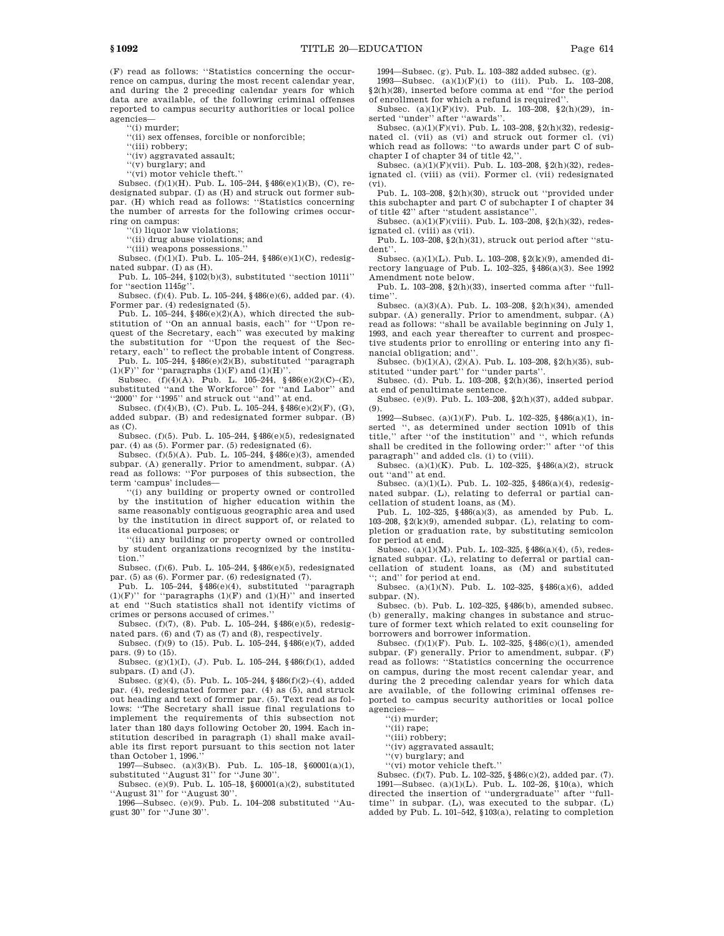(F) read as follows: ''Statistics concerning the occurrence on campus, during the most recent calendar year, and during the 2 preceding calendar years for which data are available, of the following criminal offenses reported to campus security authorities or local police agencies—

''(i) murder;

''(ii) sex offenses, forcible or nonforcible;

''(iii) robbery;

''(iv) aggravated assault;

''(v) burglary; and

''(vi) motor vehicle theft.''

Subsec. (f)(1)(H). Pub. L. 105–244, §486(e)(1)(B), (C), redesignated subpar. (I) as (H) and struck out former subpar. (H) which read as follows: ''Statistics concerning the number of arrests for the following crimes occurring on campus:

''(i) liquor law violations;

''(ii) drug abuse violations; and

''(iii) weapons possessions.''

Subsec. (f)(1)(I). Pub. L. 105–244, §486(e)(1)(C), redesignated subpar. (I) as (H).

Pub. L. 105–244, §102(b)(3), substituted ''section 1011i'' for "section 1145g"

Subsec. (f)(4). Pub. L. 105–244, §486(e)(6), added par. (4). Former par. (4) redesignated (5).

Pub. L. 105-244,  $§486(e)(2)(A)$ , which directed the substitution of ''On an annual basis, each'' for ''Upon request of the Secretary, each'' was executed by making the substitution for ''Upon the request of the Secretary, each'' to reflect the probable intent of Congress.

Pub. L. 105–244, §486(e)(2)(B), substituted ''paragraph (1)(F)'' for "paragraphs (1)(F) and (1)(H)'.

Subsec.  $(f)(4)(A)$ . Pub. L. 105–244, §486(e)(2)(C)–(E), substituted ''and the Workforce'' for ''and Labor'' and ''2000'' for ''1995'' and struck out ''and'' at end.

Subsec. (f)(4)(B), (C). Pub. L. 105–244, §486(e)(2)(F), (G), added subpar. (B) and redesignated former subpar. (B) as (C).

Subsec. (f)(5). Pub. L. 105–244, §486(e)(5), redesignated par. (4) as (5). Former par. (5) redesignated (6).

Subsec. (f)(5)(A). Pub. L. 105–244, §486(e)(3), amended subpar. (A) generally. Prior to amendment, subpar. (A) read as follows: ''For purposes of this subsection, the term 'campus' includes—

''(i) any building or property owned or controlled by the institution of higher education within the same reasonably contiguous geographic area and used by the institution in direct support of, or related to its educational purposes; or

''(ii) any building or property owned or controlled by student organizations recognized by the institution.''

Subsec. (f)(6). Pub. L. 105–244, §486(e)(5), redesignated par. (5) as (6). Former par. (6) redesignated (7).

Pub. L. 105–244, §486(e)(4), substituted ''paragraph  $(1)(F)'$  for "paragraphs  $(1)(F)$  and  $(1)(H)'$  and inserted at end ''Such statistics shall not identify victims of crimes or persons accused of crimes.''

Subsec. (f)(7), (8). Pub. L. 105–244, §486(e)(5), redesignated pars. (6) and (7) as (7) and (8), respectively.

Subsec. (f)(9) to (15). Pub. L. 105–244, §486(e)(7), added pars. (9) to (15).

Subsec. (g)(1)(I), (J). Pub. L. 105–244, §486(f)(1), added subpars. (I) and (J).

Subsec. (g)(4), (5). Pub. L. 105–244, §486(f)(2)–(4), added par. (4), redesignated former par. (4) as (5), and struck out heading and text of former par. (5). Text read as follows: ''The Secretary shall issue final regulations to implement the requirements of this subsection not later than 180 days following October 20, 1994. Each institution described in paragraph (1) shall make available its first report pursuant to this section not later than October 1, 1996.

1997—Subsec. (a)(3)(B). Pub. L. 105–18,  $\$60001(a)(1)$ , substituted ''August 31'' for ''June 30''.

Subsec. (e)(9). Pub. L. 105–18, §60001(a)(2), substituted ''August 31'' for ''August 30''.

1996—Subsec. (e)(9). Pub. L. 104–208 substituted ''August 30'' for ''June 30''.

1994—Subsec. (g). Pub. L. 103–382 added subsec. (g).

1993—Subsec. (a)(1)(F)(i) to (iii). Pub. L. 103–208, §2(h)(28), inserted before comma at end ''for the period of enrollment for which a refund is required'

Subsec. (a)(1)(F)(iv). Pub. L. 103–208, §2(h)(29), inserted ''under'' after ''awards''.

Subsec. (a)(1)(F)(vi). Pub. L. 103–208, §2(h)(32), redesignated cl. (vii) as (vi) and struck out former cl. (vi) which read as follows: ''to awards under part C of subchapter I of chapter 34 of title 42,''.

Subsec. (a)(1)(F)(vii). Pub. L. 103–208, §2(h)(32), redesignated cl. (viii) as (vii). Former cl. (vii) redesignated (vi).

Pub. L. 103–208, §2(h)(30), struck out ''provided under this subchapter and part C of subchapter I of chapter 34 of title 42'' after ''student assistance''.

Subsec. (a)(1)(F)(viii). Pub. L. 103–208, §2(h)(32), redesignated cl. (viii) as (vii).

Pub. L. 103–208, §2(h)(31), struck out period after ''student''.

Subsec. (a)(1)(L). Pub. L. 103–208, §2(k)(9), amended directory language of Pub. L. 102–325, §486(a)(3). See 1992 Amendment note below.

Pub. L. 103–208, §2(h)(33), inserted comma after ''fulltime''.

Subsec. (a)(3)(A). Pub. L. 103–208, §2(h)(34), amended subpar. (A) generally. Prior to amendment, subpar. (A) read as follows: ''shall be available beginning on July 1, 1993, and each year thereafter to current and prospective students prior to enrolling or entering into any financial obligation; and''.

Subsec. (b)(1)(A), (2)(A). Pub. L. 103–208, §2(h)(35), substituted ''under part'' for ''under parts''.

Subsec. (d). Pub. L. 103–208, §2(h)(36), inserted period at end of penultimate sentence.

Subsec. (e)(9). Pub. L. 103–208, §2(h)(37), added subpar. (9).

1992—Subsec. (a)(1)(F). Pub. L. 102–325, §486(a)(1), inserted '', as determined under section 1091b of this title,'' after ''of the institution'' and '', which refunds shall be credited in the following order:'' after ''of this paragraph'' and added cls. (i) to (viii).

Subsec. (a)(1)(K). Pub. L. 102–325, §486(a)(2), struck out ''and'' at end.

Subsec. (a)(1)(L). Pub. L. 102–325, §486(a)(4), redesignated subpar. (L), relating to deferral or partial cancellation of student loans, as (M).

Pub. L. 102–325, §486(a)(3), as amended by Pub. L. 103–208,  $\S2(k)(9)$ , amended subpar. (L), relating to completion or graduation rate, by substituting semicolon for period at end.

Subsec. (a)(1)(M). Pub. L. 102–325, §486(a)(4), (5), redesignated subpar. (L), relating to deferral or partial cancellation of student loans, as (M) and substituted ''; and'' for period at end.

Subsec. (a)(1)(N). Pub. L. 102–325, §486(a)(6), added subpar. (N).

Subsec. (b). Pub. L. 102–325, §486(b), amended subsec. (b) generally, making changes in substance and structure of former text which related to exit counseling for borrowers and borrower information.

Subsec. (f)(1)(F). Pub. L. 102–325, §486(c)(1), amended subpar.  $(F)$  generally. Prior to amendment, subpar.  $(F)$ read as follows: ''Statistics concerning the occurrence on campus, during the most recent calendar year, and during the 2 preceding calendar years for which data are available, of the following criminal offenses reported to campus security authorities or local police agencies—

''(i) murder;

"(ii) rape;

''(iii) robbery;

''(iv) aggravated assault;

''(v) burglary; and

''(vi) motor vehicle theft.''

Subsec. (f)(7). Pub. L. 102–325, §486(c)(2), added par. (7).<br>1991—Subsec. (a)(1)(L). Pub. L. 102–26, §10(a), which directed the insertion of ''undergraduate'' after ''fulltime'' in subpar. (L), was executed to the subpar. (L) added by Pub. L. 101–542, §103(a), relating to completion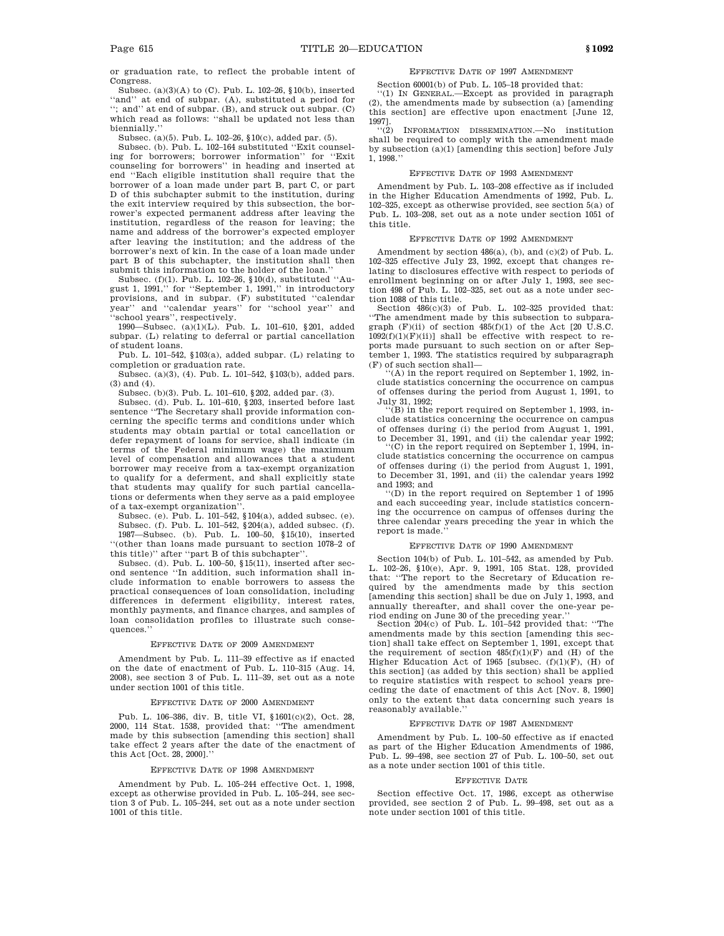or graduation rate, to reflect the probable intent of Congress.

Subsec. (a)(3)(A) to (C). Pub. L. 102-26,  $$10(b)$ , inserted "and" at end of subpar. (A), substituted a period for ''; and'' at end of subpar. (B), and struck out subpar. (C) which read as follows: ''shall be updated not less than biennially.''

Subsec. (a)(5). Pub. L. 102–26, §10(c), added par. (5).

Subsec. (b). Pub. L. 102–164 substituted ''Exit counseling for borrowers; borrower information'' for ''Exit counseling for borrowers'' in heading and inserted at end ''Each eligible institution shall require that the borrower of a loan made under part B, part C, or part  ${\mathcal{D}}$  of this subchapter submit to the institution, during the exit interview required by this subsection, the borrower's expected permanent address after leaving the institution, regardless of the reason for leaving; the name and address of the borrower's expected employer after leaving the institution; and the address of the borrower's next of kin. In the case of a loan made under part B of this subchapter, the institution shall then submit this information to the holder of the loan.''

Subsec. (f)(1). Pub. L. 102–26,  $\S 10(d),$  substituted ''August 1, 1991,'' for ''September 1, 1991,'' in introductory provisions, and in subpar. (F) substituted ''calendar year'' and ''calendar years'' for ''school year'' and ''school years'', respectively.

1990—Subsec. (a)(1)(L). Pub. L. 101–610, §201, added subpar. (L) relating to deferral or partial cancellation of student loans.

Pub. L. 101–542, §103(a), added subpar. (L) relating to completion or graduation rate.

Subsec. (a)(3), (4). Pub. L. 101–542, §103(b), added pars. (3) and (4).

Subsec. (b)(3). Pub. L. 101–610, §202, added par. (3).

Subsec. (d). Pub. L. 101–610, §203, inserted before last sentence ''The Secretary shall provide information concerning the specific terms and conditions under which students may obtain partial or total cancellation or defer repayment of loans for service, shall indicate (in terms of the Federal minimum wage) the maximum level of compensation and allowances that a student borrower may receive from a tax-exempt organization to qualify for a deferment, and shall explicitly state that students may qualify for such partial cancellations or deferments when they serve as a paid employee of a tax-exempt organization''.

Subsec. (e). Pub. L. 101–542, §104(a), added subsec. (e).

Subsec. (f). Pub. L. 101–542, §204(a), added subsec. (f). 1987—Subsec. (b). Pub. L. 100–50, §15(10), inserted ''(other than loans made pursuant to section 1078–2 of this title)'' after ''part B of this subchapter''.

Subsec. (d). Pub. L. 100–50, §15(11), inserted after second sentence ''In addition, such information shall include information to enable borrowers to assess the practical consequences of loan consolidation, including differences in deferment eligibility, interest rates, monthly payments, and finance charges, and samples of loan consolidation profiles to illustrate such consequences.''

#### EFFECTIVE DATE OF 2009 AMENDMENT

Amendment by Pub. L. 111–39 effective as if enacted on the date of enactment of Pub. L. 110–315 (Aug. 14, 2008), see section 3 of Pub. L. 111–39, set out as a note under section 1001 of this title.

## EFFECTIVE DATE OF 2000 AMENDMENT

Pub. L. 106–386, div. B, title VI, §1601(c)(2), Oct. 28, 2000, 114 Stat. 1538, provided that: ''The amendment made by this subsection [amending this section] shall take effect 2 years after the date of the enactment of this Act [Oct. 28, 2000].''

#### EFFECTIVE DATE OF 1998 AMENDMENT

Amendment by Pub. L. 105–244 effective Oct. 1, 1998, except as otherwise provided in Pub. L. 105–244, see section 3 of Pub. L. 105–244, set out as a note under section 1001 of this title.

#### EFFECTIVE DATE OF 1997 AMENDMENT

Section 60001(b) of Pub. L. 105–18 provided that:

'(1) IN GENERAL.-Except as provided in paragraph (2), the amendments made by subsection (a) [amending this section] are effective upon enactment [June 12, 1997].

''(2) INFORMATION DISSEMINATION.—No institution shall be required to comply with the amendment made by subsection (a)(1) [amending this section] before July 1, 1998.''

#### EFFECTIVE DATE OF 1993 AMENDMENT

Amendment by Pub. L. 103–208 effective as if included in the Higher Education Amendments of 1992, Pub. L. 102–325, except as otherwise provided, see section 5(a) of Pub. L. 103–208, set out as a note under section 1051 of this title.

#### EFFECTIVE DATE OF 1992 AMENDMENT

Amendment by section 486(a), (b), and (c)(2) of Pub. L. 102–325 effective July 23, 1992, except that changes relating to disclosures effective with respect to periods of enrollment beginning on or after July 1, 1993, see section 498 of Pub. L. 102–325, set out as a note under section 1088 of this title.

Section  $486(c)(3)$  of Pub. L. 102-325 provided that: ''The amendment made by this subsection to subparagraph (F)(ii) of section 485(f)(1) of the Act [20 U.S.C.  $1092(f)(1)(F)(ii)$ ] shall be effective with respect to reports made pursuant to such section on or after September 1, 1993. The statistics required by subparagraph (F) of such section shall—

 $'(A)$  in the report required on September 1, 1992, include statistics concerning the occurrence on campus of offenses during the period from August 1, 1991, to July 31, 1992;

''(B) in the report required on September 1, 1993, include statistics concerning the occurrence on campus of offenses during (i) the period from August 1, 1991,

to December 31, 1991, and (ii) the calendar year 1992;<br>"(C) in the report required on September 1, 1994, include statistics concerning the occurrence on campus of offenses during (i) the period from August 1, 1991, to December 31, 1991, and (ii) the calendar years 1992 and 1993; and

''(D) in the report required on September 1 of 1995 and each succeeding year, include statistics concerning the occurrence on campus of offenses during the three calendar years preceding the year in which the report is made.

#### EFFECTIVE DATE OF 1990 AMENDMENT

Section 104(b) of Pub. L. 101–542, as amended by Pub. L. 102–26, §10(e), Apr. 9, 1991, 105 Stat. 128, provided that: ''The report to the Secretary of Education required by the amendments made by this section [amending this section] shall be due on July 1, 1993, and annually thereafter, and shall cover the one-year period ending on June 30 of the preceding year.'' Section 204(c) of Pub. L. 101–542 provided that: ''The

amendments made by this section [amending this section] shall take effect on September 1, 1991, except that the requirement of section  $485(f)(1)(F)$  and  $(H)$  of the Higher Education Act of 1965 [subsec.  $(f)(1)(F)$ ,  $(H)$  of this section] (as added by this section) shall be applied to require statistics with respect to school years preceding the date of enactment of this Act [Nov. 8, 1990] only to the extent that data concerning such years is reasonably available.''

#### EFFECTIVE DATE OF 1987 AMENDMENT

Amendment by Pub. L. 100–50 effective as if enacted as part of the Higher Education Amendments of 1986, Pub. L. 99–498, see section 27 of Pub. L. 100–50, set out as a note under section 1001 of this title.

#### EFFECTIVE DATE

Section effective Oct. 17, 1986, except as otherwise provided, see section 2 of Pub. L. 99–498, set out as a note under section 1001 of this title.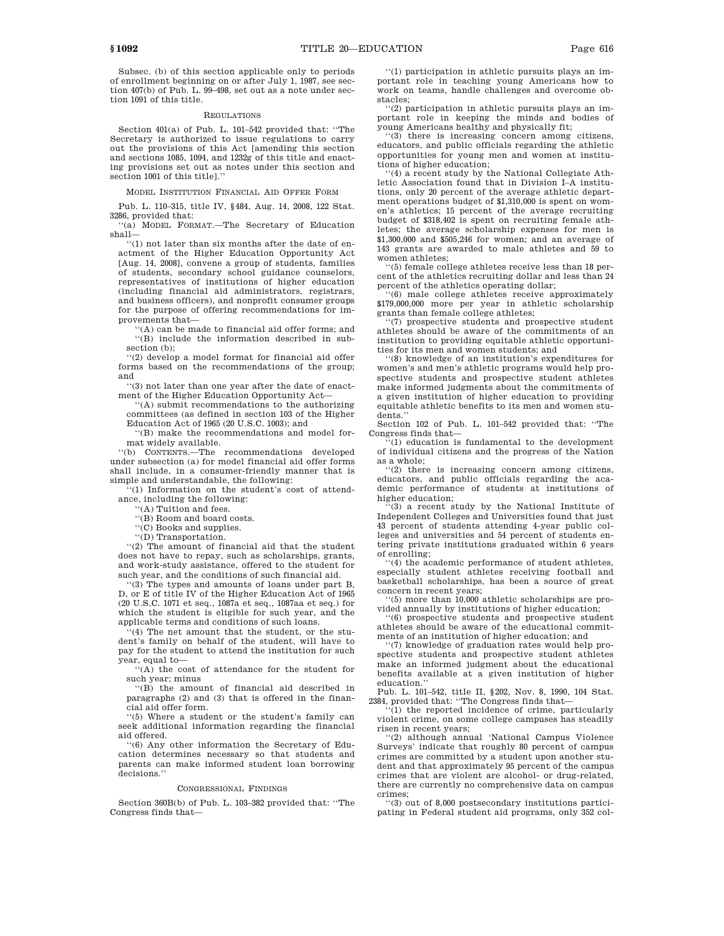Subsec. (b) of this section applicable only to periods of enrollment beginning on or after July 1, 1987, see section 407(b) of Pub. L. 99–498, set out as a note under section 1091 of this title.

#### REGULATIONS

Section 401(a) of Pub. L. 101–542 provided that: ''The Secretary is authorized to issue regulations to carry out the provisions of this Act [amending this section and sections 1085, 1094, and 1232g of this title and enacting provisions set out as notes under this section and section 1001 of this title].''

MODEL INSTITUTION FINANCIAL AID OFFER FORM

Pub. L. 110–315, title IV, §484, Aug. 14, 2008, 122 Stat. 3286, provided that:

''(a) MODEL FORMAT.—The Secretary of Education shall—

''(1) not later than six months after the date of enactment of the Higher Education Opportunity Act [Aug. 14, 2008], convene a group of students, families of students, secondary school guidance counselors, representatives of institutions of higher education (including financial aid administrators, registrars, and business officers), and nonprofit consumer groups for the purpose of offering recommendations for improvements that—

''(A) can be made to financial aid offer forms; and ''(B) include the information described in subsection (b);

''(2) develop a model format for financial aid offer forms based on the recommendations of the group; and

''(3) not later than one year after the date of enactment of the Higher Education Opportunity Act—

''(A) submit recommendations to the authorizing committees (as defined in section 103 of the Higher Education Act of 1965 (20 U.S.C. 1003); and

''(B) make the recommendations and model format widely available.

''(b) CONTENTS.—The recommendations developed under subsection (a) for model financial aid offer forms shall include, in a consumer-friendly manner that is simple and understandable, the following:

''(1) Information on the student's cost of attendance, including the following:

''(A) Tuition and fees.

''(B) Room and board costs.

''(C) Books and supplies.

''(D) Transportation.

''(2) The amount of financial aid that the student does not have to repay, such as scholarships, grants, and work-study assistance, offered to the student for such year, and the conditions of such financial aid.

''(3) The types and amounts of loans under part B, D, or E of title IV of the Higher Education Act of 1965 (20 U.S.C. 1071 et seq., 1087a et seq., 1087aa et seq.) for which the student is eligible for such year, and the applicable terms and conditions of such loans.

 $'(4)$  The net amount that the student, or the student's family on behalf of the student, will have to pay for the student to attend the institution for such year, equal to—

''(A) the cost of attendance for the student for such year; minus

''(B) the amount of financial aid described in paragraphs (2) and (3) that is offered in the financial aid offer form.

''(5) Where a student or the student's family can seek additional information regarding the financial aid offered.

''(6) Any other information the Secretary of Education determines necessary so that students and parents can make informed student loan borrowing decisions.''

#### CONGRESSIONAL FINDINGS

Section 360B(b) of Pub. L. 103–382 provided that: ''The Congress finds that—

''(1) participation in athletic pursuits plays an important role in teaching young Americans how to work on teams, handle challenges and overcome obstacles;

''(2) participation in athletic pursuits plays an important role in keeping the minds and bodies of young Americans healthy and physically fit;

''(3) there is increasing concern among citizens, educators, and public officials regarding the athletic opportunities for young men and women at institutions of higher education;

''(4) a recent study by the National Collegiate Athletic Association found that in Division I–A institutions, only 20 percent of the average athletic department operations budget of \$1,310,000 is spent on women's athletics; 15 percent of the average recruiting budget of \$318,402 is spent on recruiting female athletes; the average scholarship expenses for men is \$1,300,000 and \$505,246 for women; and an average of 143 grants are awarded to male athletes and 59 to women athletes;

''(5) female college athletes receive less than 18 percent of the athletics recruiting dollar and less than 24 percent of the athletics operating dollar;

''(6) male college athletes receive approximately \$179,000,000 more per year in athletic scholarship grants than female college athletes; ''(7) prospective students and prospective student

athletes should be aware of the commitments of an institution to providing equitable athletic opportunities for its men and women students; and

''(8) knowledge of an institution's expenditures for women's and men's athletic programs would help prospective students and prospective student athletes make informed judgments about the commitments of a given institution of higher education to providing equitable athletic benefits to its men and women students.''

Section 102 of Pub. L. 101–542 provided that: ''The Congress finds that—

(1) education is fundamental to the development of individual citizens and the progress of the Nation as a whole;

''(2) there is increasing concern among citizens, educators, and public officials regarding the academic performance of students at institutions of higher education;

''(3) a recent study by the National Institute of Independent Colleges and Universities found that just 43 percent of students attending 4-year public colleges and universities and 54 percent of students entering private institutions graduated within 6 years of enrolling;

''(4) the academic performance of student athletes, especially student athletes receiving football and basketball scholarships, has been a source of great concern in recent years;

 $(5)$  more than 10,000 athletic scholarships are provided annually by institutions of higher education; ''(6) prospective students and prospective student

athletes should be aware of the educational commitments of an institution of higher education; and

(7) knowledge of graduation rates would help prospective students and prospective student athletes make an informed judgment about the educational benefits available at a given institution of higher education.''

Pub. L. 101–542, title II, §202, Nov. 8, 1990, 104 Stat. 2384, provided that: ''The Congress finds that—

(1) the reported incidence of crime, particularly violent crime, on some college campuses has steadily risen in recent years;

''(2) although annual 'National Campus Violence Surveys' indicate that roughly 80 percent of campus crimes are committed by a student upon another student and that approximately 95 percent of the campus crimes that are violent are alcohol- or drug-related, there are currently no comprehensive data on campus

crimes; ''(3) out of 8,000 postsecondary institutions participating in Federal student aid programs, only 352 col